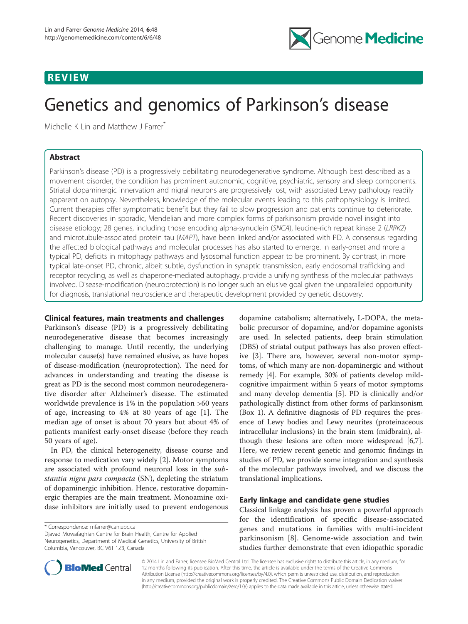

## REVIEW

# Genetics and genomics of Parkinson's disease

Michelle K Lin and Matthew J Farrer<sup>\*</sup>

## Abstract

Parkinson's disease (PD) is a progressively debilitating neurodegenerative syndrome. Although best described as a movement disorder, the condition has prominent autonomic, cognitive, psychiatric, sensory and sleep components. Striatal dopaminergic innervation and nigral neurons are progressively lost, with associated Lewy pathology readily apparent on autopsy. Nevertheless, knowledge of the molecular events leading to this pathophysiology is limited. Current therapies offer symptomatic benefit but they fail to slow progression and patients continue to deteriorate. Recent discoveries in sporadic, Mendelian and more complex forms of parkinsonism provide novel insight into disease etiology; 28 genes, including those encoding alpha-synuclein (SNCA), leucine-rich repeat kinase 2 (LRRK2) and microtubule-associated protein tau (MAPT), have been linked and/or associated with PD. A consensus regarding the affected biological pathways and molecular processes has also started to emerge. In early-onset and more a typical PD, deficits in mitophagy pathways and lysosomal function appear to be prominent. By contrast, in more typical late-onset PD, chronic, albeit subtle, dysfunction in synaptic transmission, early endosomal trafficking and receptor recycling, as well as chaperone-mediated autophagy, provide a unifying synthesis of the molecular pathways involved. Disease-modification (neuroprotection) is no longer such an elusive goal given the unparalleled opportunity for diagnosis, translational neuroscience and therapeutic development provided by genetic discovery.

## Clinical features, main treatments and challenges

Parkinson's disease (PD) is a progressively debilitating neurodegenerative disease that becomes increasingly challenging to manage. Until recently, the underlying molecular cause(s) have remained elusive, as have hopes of disease-modification (neuroprotection). The need for advances in understanding and treating the disease is great as PD is the second most common neurodegenerative disorder after Alzheimer's disease. The estimated worldwide prevalence is 1% in the population >60 years of age, increasing to 4% at 80 years of age [[1\]](#page-11-0). The median age of onset is about 70 years but about 4% of patients manifest early-onset disease (before they reach 50 years of age).

In PD, the clinical heterogeneity, disease course and response to medication vary widely [[2\]](#page-11-0). Motor symptoms are associated with profound neuronal loss in the substantia nigra pars compacta (SN), depleting the striatum of dopaminergic inhibition. Hence, restorative dopaminergic therapies are the main treatment. Monoamine oxidase inhibitors are initially used to prevent endogenous

Djavad Mowafaghian Centre for Brain Health, Centre for Applied Neurogenetics, Department of Medical Genetics, University of British Columbia, Vancouver, BC V6T 1Z3, Canada

dopamine catabolism; alternatively, L-DOPA, the metabolic precursor of dopamine, and/or dopamine agonists are used. In selected patients, deep brain stimulation (DBS) of striatal output pathways has also proven effective [[3](#page-11-0)]. There are, however, several non-motor symptoms, of which many are non-dopaminergic and without remedy [[4\]](#page-11-0). For example, 30% of patients develop mildcognitive impairment within 5 years of motor symptoms and many develop dementia [\[5](#page-11-0)]. PD is clinically and/or pathologically distinct from other forms of parkinsonism (Box 1). A definitive diagnosis of PD requires the presence of Lewy bodies and Lewy neurites (proteinaceous intracellular inclusions) in the brain stem (midbrain), although these lesions are often more widespread [\[6,7](#page-11-0)]. Here, we review recent genetic and genomic findings in studies of PD, we provide some integration and synthesis of the molecular pathways involved, and we discuss the translational implications.

## Early linkage and candidate gene studies

Classical linkage analysis has proven a powerful approach for the identification of specific disease-associated genes and mutations in families with multi-incident parkinsonism [[8\]](#page-11-0). Genome-wide association and twin studies further demonstrate that even idiopathic sporadic



© 2014 Lin and Farrer; licensee BioMed Central Ltd. The licensee has exclusive rights to distribute this article, in any medium, for 12 months following its publication. After this time, the article is available under the terms of the Creative Commons Attribution License [\(http://creativecommons.org/licenses/by/4.0](http://creativecommons.org/licenses/by/4.0)), which permits unrestricted use, distribution, and reproduction in any medium, provided the original work is properly credited. The Creative Commons Public Domain Dedication waiver [\(http://creativecommons.org/publicdomain/zero/1.0/\)](http://creativecommons.org/publicdomain/zero/1.0/) applies to the data made available in this article, unless otherwise stated.

<sup>\*</sup> Correspondence: [mfarrer@can.ubc.ca](mailto:mfarrer@can.ubc.ca)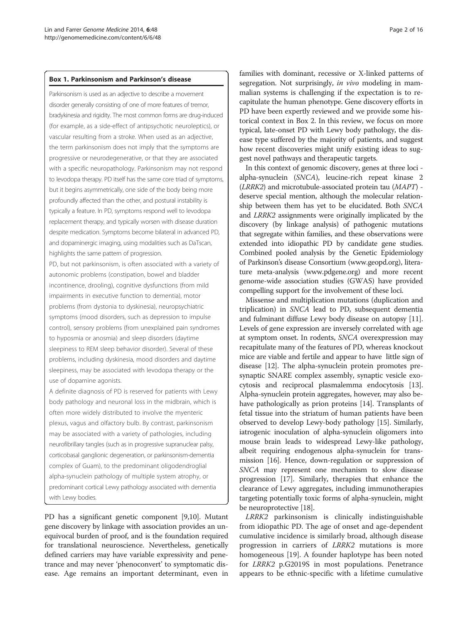#### Box 1. Parkinsonism and Parkinson's disease

Parkinsonism is used as an adjective to describe a movement disorder generally consisting of one of more features of tremor, bradykinesia and rigidity. The most common forms are drug-induced (for example, as a side-effect of antipsychotic neuroleptics), or vascular resulting from a stroke. When used as an adjective, the term parkinsonism does not imply that the symptoms are progressive or neurodegenerative, or that they are associated with a specific neuropathology. Parkinsonism may not respond to levodopa therapy. PD itself has the same core triad of symptoms, but it begins asymmetrically, one side of the body being more profoundly affected than the other, and postural instability is typically a feature. In PD, symptoms respond well to levodopa replacement therapy, and typically worsen with disease duration despite medication. Symptoms become bilateral in advanced PD, and dopaminergic imaging, using modalities such as DaTscan, highlights the same pattern of progression.

PD, but not parkinsonism, is often associated with a variety of autonomic problems (constipation, bowel and bladder incontinence, drooling), cognitive dysfunctions (from mild impairments in executive function to dementia), motor problems (from dystonia to dyskinesia), neuropsychiatric symptoms (mood disorders, such as depression to impulse control), sensory problems (from unexplained pain syndromes to hyposmia or anosmia) and sleep disorders (daytime sleepiness to REM sleep behavior disorder). Several of these problems, including dyskinesia, mood disorders and daytime sleepiness, may be associated with levodopa therapy or the use of dopamine agonists.

A definite diagnosis of PD is reserved for patients with Lewy body pathology and neuronal loss in the midbrain, which is often more widely distributed to involve the myenteric plexus, vagus and olfactory bulb. By contrast, parkinsonism may be associated with a variety of pathologies, including neurofibrillary tangles (such as in progressive supranuclear palsy, corticobasal ganglionic degeneration, or parkinsonism-dementia complex of Guam), to the predominant oligodendroglial alpha-synuclein pathology of multiple system atrophy, or predominant cortical Lewy pathology associated with dementia with Lewy bodies.

PD has a significant genetic component [\[9,10](#page-11-0)]. Mutant gene discovery by linkage with association provides an unequivocal burden of proof, and is the foundation required for translational neuroscience. Nevertheless, genetically defined carriers may have variable expressivity and penetrance and may never 'phenoconvert' to symptomatic disease. Age remains an important determinant, even in

families with dominant, recessive or X-linked patterns of segregation. Not surprisingly, in vivo modeling in mam-

malian systems is challenging if the expectation is to recapitulate the human phenotype. Gene discovery efforts in PD have been expertly reviewed and we provide some historical context in Box 2. In this review, we focus on more typical, late-onset PD with Lewy body pathology, the disease type suffered by the majority of patients, and suggest how recent discoveries might unify existing ideas to suggest novel pathways and therapeutic targets.

In this context of genomic discovery, genes at three loci alpha-synuclein (SNCA), leucine-rich repeat kinase 2 (LRRK2) and microtubule-associated protein tau (MAPT) deserve special mention, although the molecular relationship between them has yet to be elucidated. Both SNCA and LRRK2 assignments were originally implicated by the discovery (by linkage analysis) of pathogenic mutations that segregate within families, and these observations were extended into idiopathic PD by candidate gene studies. Combined pooled analysis by the Genetic Epidemiology of Parkinson's disease Consortium [\(www.geopd.org](http://www.geopd.org/)), literature meta-analysis [\(www.pdgene.org\)](http://www.pdgene.org/) and more recent genome-wide association studies (GWAS) have provided compelling support for the involvement of these loci.

Missense and multiplication mutations (duplication and triplication) in SNCA lead to PD, subsequent dementia and fulminant diffuse Lewy body disease on autopsy [[11](#page-11-0)]. Levels of gene expression are inversely correlated with age at symptom onset. In rodents, SNCA overexpression may recapitulate many of the features of PD, whereas knockout mice are viable and fertile and appear to have little sign of disease [\[12\]](#page-11-0). The alpha-synuclein protein promotes presynaptic SNARE complex assembly, synaptic vesicle exocytosis and reciprocal plasmalemma endocytosis [[13](#page-11-0)]. Alpha-synuclein protein aggregates, however, may also behave pathologically as prion proteins [\[14\]](#page-11-0). Transplants of fetal tissue into the striatum of human patients have been observed to develop Lewy-body pathology [\[15\]](#page-11-0). Similarly, iatrogenic inoculation of alpha-synuclein oligomers into mouse brain leads to widespread Lewy-like pathology, albeit requiring endogenous alpha-synuclein for transmission [\[16\]](#page-11-0). Hence, down-regulation or suppression of SNCA may represent one mechanism to slow disease progression [\[17\]](#page-11-0). Similarly, therapies that enhance the clearance of Lewy aggregates, including immunotherapies targeting potentially toxic forms of alpha-synuclein, might be neuroprotective [[18](#page-11-0)].

LRRK2 parkinsonism is clinically indistinguishable from idiopathic PD. The age of onset and age-dependent cumulative incidence is similarly broad, although disease progression in carriers of LRRK2 mutations is more homogeneous [\[19\]](#page-11-0). A founder haplotype has been noted for LRRK2 p.G2019S in most populations. Penetrance appears to be ethnic-specific with a lifetime cumulative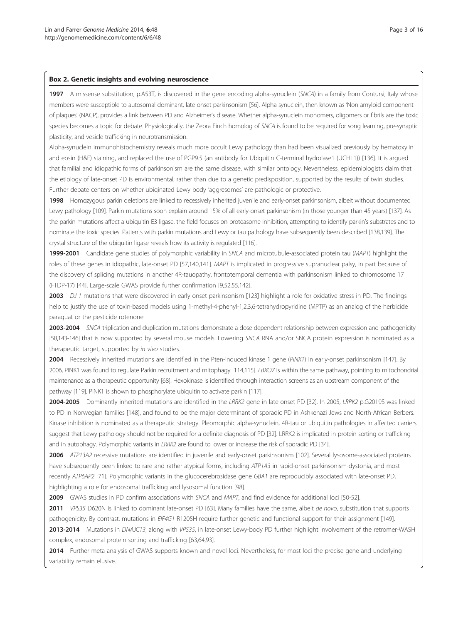#### Box 2. Genetic insights and evolving neuroscience

1997 A missense substitution, p.A53T, is discovered in the gene encoding alpha-synuclein (SNCA) in a family from Contursi, Italy whose members were susceptible to autosomal dominant, late-onset parkinsonism [\[56](#page-12-0)]. Alpha-synuclein, then known as 'Non-amyloid component of plaques' (NACP), provides a link between PD and Alzheimer's disease. Whether alpha-synuclein monomers, oligomers or fibrils are the toxic species becomes a topic for debate. Physiologically, the Zebra Finch homolog of SNCA is found to be required for song learning, pre-synaptic plasticity, and vesicle trafficking in neurotransmission.

Alpha-synuclein immunohistochemistry reveals much more occult Lewy pathology than had been visualized previously by hematoxylin and eosin (H&E) staining, and replaced the use of PGP9.5 (an antibody for Ubiquitin C-terminal hydrolase1 (UCHL1)) [\[136](#page-15-0)]. It is argued that familial and idiopathic forms of parkinsonism are the same disease, with similar ontology. Nevertheless, epidemiologists claim that the etiology of late-onset PD is environmental, rather than due to a genetic predisposition, supported by the results of twin studies. Further debate centers on whether ubiqinated Lewy body 'aggresomes' are pathologic or protective.

1998 Homozygous parkin deletions are linked to recessively inherited juvenile and early-onset parkinsonism, albeit without documented Lewy pathology [[109](#page-14-0)]. Parkin mutations soon explain around 15% of all early-onset parkinsonism (in those younger than 45 years) [\[137](#page-15-0)]. As the parkin mutations affect a ubiquitin E3 ligase, the field focuses on proteasome inhibition, attempting to identify parkin's substrates and to nominate the toxic species. Patients with parkin mutations and Lewy or tau pathology have subsequently been described [[138](#page-15-0),[139\]](#page-15-0). The crystal structure of the ubiquitin ligase reveals how its activity is regulated [\[116](#page-14-0)].

1999-2001 Candidate gene studies of polymorphic variability in SNCA and microtubule-associated protein tau (MAPT) highlight the roles of these genes in idiopathic, late-onset PD [\[57](#page-12-0),[140,141\]](#page-15-0). MAPT is implicated in progressive supranuclear palsy, in part because of the discovery of splicing mutations in another 4R-tauopathy, frontotemporal dementia with parkinsonism linked to chromosome 17 (FTDP-17) [\[44](#page-12-0)]. Large-scale GWAS provide further confirmation [[9](#page-11-0)[,52](#page-12-0),[55](#page-12-0)[,142\]](#page-15-0).

2003 DJ-1 mutations that were discovered in early-onset parkinsonism [\[123\]](#page-14-0) highlight a role for oxidative stress in PD. The findings help to justify the use of toxin-based models using 1-methyl-4-phenyl-1,2,3,6-tetrahydropyridine (MPTP) as an analog of the herbicide paraquat or the pesticide rotenone.

2003-2004 SNCA triplication and duplication mutations demonstrate a dose-dependent relationship between expression and pathogenicity [[58,](#page-12-0)[143-146\]](#page-15-0) that is now supported by several mouse models. Lowering SNCA RNA and/or SNCA protein expression is nominated as a therapeutic target, supported by in vivo studies.

2004 Recessively inherited mutations are identified in the Pten-induced kinase 1 gene (PINK1) in early-onset parkinsonism [\[147](#page-15-0)]. By 2006, PINK1 was found to regulate Parkin recruitment and mitophagy [[114,115](#page-14-0)]. FBXO7 is within the same pathway, pointing to mitochondrial maintenance as a therapeutic opportunity [[68\]](#page-13-0). Hexokinase is identified through interaction screens as an upstream component of the pathway [[119\]](#page-14-0). PINK1 is shown to phosphorylate ubiquitin to activate parkin [[117\]](#page-14-0).

2004-2005 Dominantly inherited mutations are identified in the LRRK2 gene in late-onset PD [[32\]](#page-11-0). In 2005, LRRK2 p.G2019S was linked to PD in Norwegian families [\[148\]](#page-15-0), and found to be the major determinant of sporadic PD in Ashkenazi Jews and North-African Berbers. Kinase inhibition is nominated as a therapeutic strategy. Pleomorphic alpha-synuclein, 4R-tau or ubiquitin pathologies in affected carriers suggest that Lewy pathology should not be required for a definite diagnosis of PD [[32\]](#page-11-0). LRRK2 is implicated in protein sorting or trafficking and in autophagy. Polymorphic variants in LRRK2 are found to lower or increase the risk of sporadic PD [\[34](#page-12-0)].

2006 ATP13A2 recessive mutations are identified in juvenile and early-onset parkinsonism [[102\]](#page-14-0). Several lysosome-associated proteins have subsequently been linked to rare and rather atypical forms, including ATP1A3 in rapid-onset parkinsonism-dystonia, and most recently ATP6AP2 [[71](#page-13-0)]. Polymorphic variants in the glucocerebrosidase gene GBA1 are reproducibly associated with late-onset PD, highlighting a role for endosomal trafficking and lysosomal function [[98\]](#page-13-0).

2009 GWAS studies in PD confirm associations with SNCA and MAPT, and find evidence for additional loci [\[50-52](#page-12-0)].

2011 VPS35 D620N is linked to dominant late-onset PD [\[63](#page-12-0)]. Many families have the same, albeit de novo, substitution that supports pathogenicity. By contrast, mutations in EIF4G1 R1205H require further genetic and functional support for their assignment [\[149](#page-15-0)]. 2013-2014 Mutations in DNAJC13, along with VPS35, in late-onset Lewy-body PD further highlight involvement of the retromer-WASH complex, endosomal protein sorting and trafficking [[63](#page-12-0)[,64,93](#page-13-0)].

2014 Further meta-analysis of GWAS supports known and novel loci. Nevertheless, for most loci the precise gene and underlying variability remain elusive.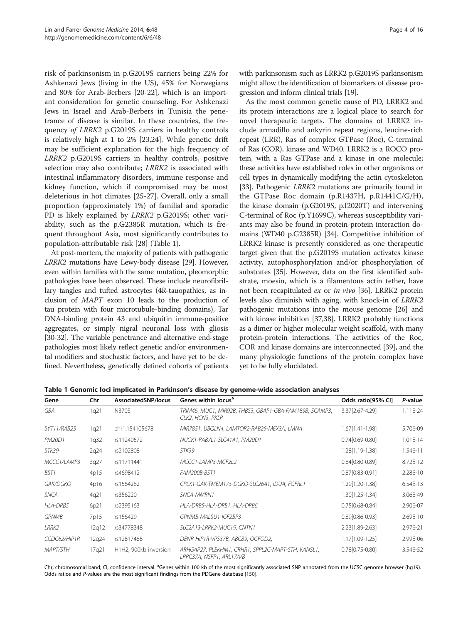<span id="page-3-0"></span>risk of parkinsonism in p.G2019S carriers being 22% for Ashkenazi Jews (living in the US), 45% for Norwegians and 80% for Arab-Berbers [[20-22](#page-11-0)], which is an important consideration for genetic counseling. For Ashkenazi Jews in Israel and Arab-Berbers in Tunisia the penetrance of disease is similar. In these countries, the frequency of LRRK2 p.G2019S carriers in healthy controls is relatively high at 1 to 2% [[23,24](#page-11-0)]. While genetic drift may be sufficient explanation for the high frequency of LRRK2 p.G2019S carriers in healthy controls, positive selection may also contribute; LRRK2 is associated with intestinal inflammatory disorders, immune response and kidney function, which if compromised may be most deleterious in hot climates [\[25-27](#page-11-0)]. Overall, only a small proportion (approximately 1%) of familial and sporadic PD is likely explained by LRRK2 p.G2019S; other variability, such as the p.G2385R mutation, which is frequent throughout Asia, most significantly contributes to population-attributable risk [\[28](#page-11-0)] (Table 1).

At post-mortem, the majority of patients with pathogenic LRRK2 mutations have Lewy-body disease [\[29\]](#page-11-0). However, even within families with the same mutation, pleomorphic pathologies have been observed. These include neurofibrillary tangles and tufted astrocytes (4R-tauopathies, as inclusion of MAPT exon 10 leads to the production of tau protein with four microtubule-binding domains), Tar DNA-binding protein 43 and ubiquitin immune-positive aggregates, or simply nigral neuronal loss with gliosis [[30](#page-11-0)-[32](#page-11-0)]. The variable penetrance and alternative end-stage pathologies most likely reflect genetic and/or environmental modifiers and stochastic factors, and have yet to be defined. Nevertheless, genetically defined cohorts of patients with parkinsonism such as LRRK2 p.G2019S parkinsonism might allow the identification of biomarkers of disease progression and inform clinical trials [[19](#page-11-0)].

As the most common genetic cause of PD, LRRK2 and its protein interactions are a logical place to search for novel therapeutic targets. The domains of LRRK2 include armadillo and ankyrin repeat regions, leucine-rich repeat (LRR), Ras of complex GTPase (Roc), C-terminal of Ras (COR), kinase and WD40. LRRK2 is a ROCO protein, with a Ras GTPase and a kinase in one molecule; these activities have established roles in other organisms or cell types in dynamically modifying the actin cytoskeleton [[33](#page-12-0)]. Pathogenic *LRRK2* mutations are primarily found in the GTPase Roc domain (p.R1437H, p.R1441C/G/H), the kinase domain (p.G2019S, p.I2020T) and intervening C-terminal of Roc (p.Y1699C), whereas susceptibility variants may also be found in protein-protein interaction domains (WD40 p.G2385R) [\[34\]](#page-12-0). Competitive inhibition of LRRK2 kinase is presently considered as one therapeutic target given that the p.G2019S mutation activates kinase activity, autophosphorylation and/or phosphorylation of substrates [\[35\]](#page-12-0). However, data on the first identified substrate, moesin, which is a filamentous actin tether, have not been recapitulated ex or in vivo [[36\]](#page-12-0). LRRK2 protein levels also diminish with aging, with knock-in of LRRK2 pathogenic mutations into the mouse genome [\[26\]](#page-11-0) and with kinase inhibition [\[37,38\]](#page-12-0). LRRK2 probably functions as a dimer or higher molecular weight scaffold, with many protein-protein interactions. The activities of the Roc, COR and kinase domains are interconnected [[39](#page-12-0)], and the many physiologic functions of the protein complex have yet to be fully elucidated.

| Gene            | Chr   | AssociatedSNP/locus   | Genes within locus <sup>a</sup>                                                | Odds ratio[95% CI]  | P-value      |
|-----------------|-------|-----------------------|--------------------------------------------------------------------------------|---------------------|--------------|
| GBA             | 1q21  | N370S                 | TRIM46, MUC1, MIR92B, THBS3, GBAP1-GBA-FAM189B, SCAMP3,<br>CLK2, HCN3, PKLR    | 3.37 [2.67-4.29]    | $1.11E - 24$ |
| SYT11/RAB25     | 1q21  | chr1:154105678        | MIR7851, UBQLN4, LAMTOR2-RAB25-MEX3A, LMNA                                     | $1.67$ [1.41-1.98]  | 5.70E-09     |
| PM20D1          | 1q32  | rs11240572            | NUCK1-RAB7L1-SLC41A1, PM20D1                                                   | $0.74[0.69-0.80]$   | $1.01E-14$   |
| STK39           | 2q24  | rs2102808             | STK39                                                                          | 1.28[1.19-1.38]     | 1.54E-11     |
| MCCC1/LAMP3     | 3q27  | rs11711441            | MCCC1-LAMP3-MCF2L2                                                             | $0.84[0.80 - 0.89]$ | 8.72E-12     |
| BST1            | 4p15  | rs4698412             | FAM200B-BST1                                                                   | $0.87$ [0.83-0.91]  | 2.28E-10     |
| GAK/DGKO        | 4p16  | rs1564282             | CPLX1-GAK-TMEM175-DGKQ-SLC26A1, IDUA, FGFRL1                                   | 1.29 [1.20 - 1.38]  | 6.54E-13     |
| <b>SNCA</b>     | 4q21  | rs356220              | SNCA-MMRN1                                                                     | 1.30 [1.25 - 1.34]  | 3.06E-49     |
| HLA-DRB5        | 6p21  | rs2395163             | HLA-DRB5-HLA-DRB1. HLA-DRB6                                                    | $0.75[0.68-0.84]$   | 2.90E-07     |
| <b>GPNMB</b>    | 7p15  | rs156429              | GPNMB-MALSU1-IGF2BP3                                                           | $0.89[0.86 - 0.93]$ | 2.69E-10     |
| LRRK2           | 12q12 | rs34778348            | SLC2A13-LRRK2-MUC19, CNTN1                                                     | 2.23[1.89-2.63]     | 2.97E-21     |
| CCDC62/HIP1R    | 12q24 | rs12817488            | DENR-HIP1R-VPS37B. ABCB9. OGFOD2.                                              | 1.17[1.09-1.25]     | 2.99E-06     |
| <b>MAPT/STH</b> | 17q21 | H1H2, 900kb inversion | ARHGAP27, PLEKHM1, CRHR1, SPPL2C-MAPT-STH, KANSL1,<br>LRRC37A, NSFP1, ARL17A/B | $0.78[0.75-0.80]$   | 3.54E-52     |

Table 1 Genomic loci implicated in Parkinson's disease by genome-wide association analyses

Chr, chromosomal band; CI, confidence interval. <sup>a</sup>Genes within 100 kb of the most significantly associated SNP annotated from the UCSC genome browser (hg19). Odds ratios and P-values are the most significant findings from the PDGene database [[150](#page-15-0)].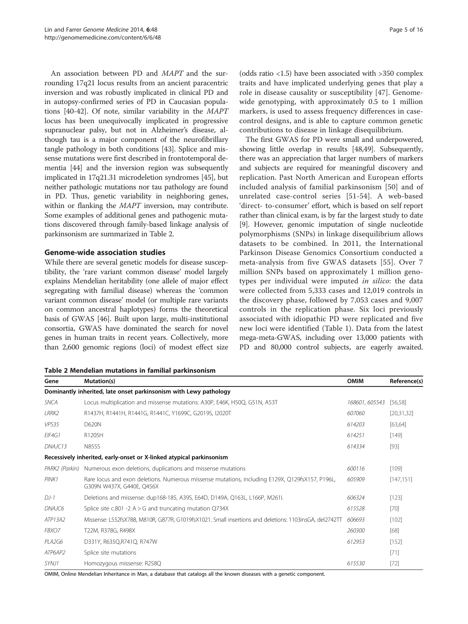An association between PD and MAPT and the surrounding 17q21 locus results from an ancient paracentric inversion and was robustly implicated in clinical PD and in autopsy-confirmed series of PD in Caucasian populations [\[40-42](#page-12-0)]. Of note, similar variability in the MAPT locus has been unequivocally implicated in progressive supranuclear palsy, but not in Alzheimer's disease, although tau is a major component of the neurofibrillary tangle pathology in both conditions [[43](#page-12-0)]. Splice and missense mutations were first described in frontotemporal dementia [\[44\]](#page-12-0) and the inversion region was subsequently implicated in 17q21.31 microdeletion syndromes [\[45\]](#page-12-0), but neither pathologic mutations nor tau pathology are found in PD. Thus, genetic variability in neighboring genes, within or flanking the *MAPT* inversion, may contribute. Some examples of additional genes and pathogenic mutations discovered through family-based linkage analysis of parkinsonism are summarized in Table 2.

## Genome-wide association studies

While there are several genetic models for disease susceptibility, the 'rare variant common disease' model largely explains Mendelian heritability (one allele of major effect segregating with familial disease) whereas the 'common variant common disease' model (or multiple rare variants on common ancestral haplotypes) forms the theoretical basis of GWAS [[46\]](#page-12-0). Built upon large, multi-institutional consortia, GWAS have dominated the search for novel genes in human traits in recent years. Collectively, more than 2,600 genomic regions (loci) of modest effect size

Table 2 Mendelian mutations in familial parkinsonism

(odds ratio <1.5) have been associated with >350 complex traits and have implicated underlying genes that play a role in disease causality or susceptibility [[47\]](#page-12-0). Genomewide genotyping, with approximately 0.5 to 1 million markers, is used to assess frequency differences in casecontrol designs, and is able to capture common genetic contributions to disease in linkage disequilibrium.

The first GWAS for PD were small and underpowered, showing little overlap in results [\[48,49](#page-12-0)]. Subsequently, there was an appreciation that larger numbers of markers and subjects are required for meaningful discovery and replication. Past North American and European efforts included analysis of familial parkinsonism [\[50\]](#page-12-0) and of unrelated case-control series [[51](#page-12-0)-[54\]](#page-12-0). A web-based 'direct- to-consumer' effort, which is based on self report rather than clinical exam, is by far the largest study to date [[9\]](#page-11-0). However, genomic imputation of single nucleotide polymorphisms (SNPs) in linkage disequilibrium allows datasets to be combined. In 2011, the International Parkinson Disease Genomics Consortium conducted a meta-analysis from five GWAS datasets [[55\]](#page-12-0). Over 7 million SNPs based on approximately 1 million genotypes per individual were imputed in silico: the data were collected from 5,333 cases and 12,019 controls in the discovery phase, followed by 7,053 cases and 9,007 controls in the replication phase. Six loci previously associated with idiopathic PD were replicated and five new loci were identified (Table [1](#page-3-0)). Data from the latest mega-meta-GWAS, including over 13,000 patients with PD and 80,000 control subjects, are eagerly awaited.

| Gene                                                                 | <b>Mutation(s)</b>                                                                                                           | <b>OMIM</b>    | Reference(s) |  |  |  |  |
|----------------------------------------------------------------------|------------------------------------------------------------------------------------------------------------------------------|----------------|--------------|--|--|--|--|
|                                                                      | Dominantly inherited, late onset parkinsonism with Lewy pathology                                                            |                |              |  |  |  |  |
| <b>SNCA</b>                                                          | Locus multiplication and missense mutations: A30P, E46K, H50Q, G51N, A53T                                                    | 168601, 605543 | [56.58]      |  |  |  |  |
| LRRK2                                                                | R1437H, R1441H, R1441G, R1441C, Y1699C, G2019S, I2020T                                                                       | 607060         | [20,31,32]   |  |  |  |  |
| VPS35                                                                | <b>D620N</b>                                                                                                                 | 614203         | [63, 64]     |  |  |  |  |
| EIF4G1                                                               | R1205H                                                                                                                       | 614251         | $[149]$      |  |  |  |  |
| DNAJC13                                                              | N855S                                                                                                                        | 614334         | $[93]$       |  |  |  |  |
| Recessively inherited, early-onset or X-linked atypical parkinsonism |                                                                                                                              |                |              |  |  |  |  |
|                                                                      | PARK2 (Parkin) Numerous exon deletions, duplications and missense mutations                                                  | 600116         | $[109]$      |  |  |  |  |
| PINK1                                                                | Rare locus and exon deletions. Numerous missense mutations, including E129X, Q129fsX157, P196L,<br>G309N W437X, G440E, O456X | 605909         | [147, 151]   |  |  |  |  |
| $D-I$                                                                | Deletions and missense: dup168-185, A39S, E64D, D149A, Q163L, L166P, M261I.                                                  | 606324         | $[123]$      |  |  |  |  |
| DNAJC6                                                               | Splice site c.801 -2 $A > G$ and truncating mutation Q734X                                                                   | 615528         | $[70]$       |  |  |  |  |
| ATP13A2                                                              | Missense: L552fsX788, M810R, G877R, G1019fsX1021. Small insertions and deletions: 1103insGA, del2742TT                       | 606693         | [102]        |  |  |  |  |
| FBXO7                                                                | T22M, R378G, R498X                                                                                                           | 260300         | [68]         |  |  |  |  |
| PLA2G6                                                               | D331Y, R635Q, R741Q, R747W                                                                                                   | 612953         | [152]        |  |  |  |  |
| ATP6AP2                                                              | Splice site mutations                                                                                                        |                | $[71]$       |  |  |  |  |
| SYNJ1                                                                | Homozygous missense: R258Q                                                                                                   | 615530         | $[72]$       |  |  |  |  |

OMIM, Online Mendelian Inheritance in Man, a database that catalogs all the known diseases with a genetic component.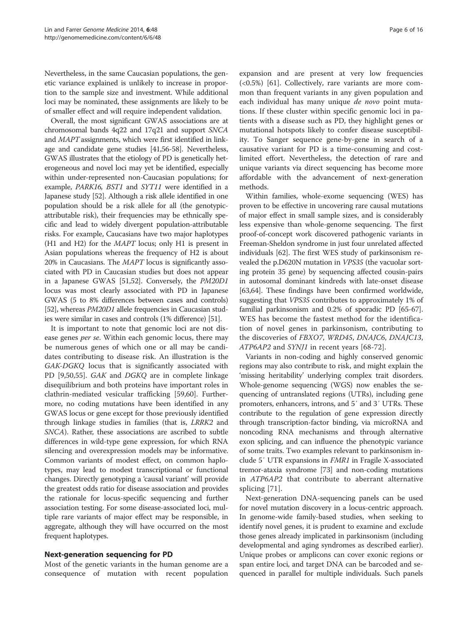Nevertheless, in the same Caucasian populations, the genetic variance explained is unlikely to increase in proportion to the sample size and investment. While additional loci may be nominated, these assignments are likely to be of smaller effect and will require independent validation.

Overall, the most significant GWAS associations are at chromosomal bands 4q22 and 17q21 and support SNCA and MAPT assignments, which were first identified in linkage and candidate gene studies [\[41,56](#page-12-0)-[58](#page-12-0)]. Nevertheless, GWAS illustrates that the etiology of PD is genetically heterogeneous and novel loci may yet be identified, especially within under-represented non-Caucasian populations; for example, PARK16, BST1 and SYT11 were identified in a Japanese study [\[52\]](#page-12-0). Although a risk allele identified in one population should be a risk allele for all (the genotypicattributable risk), their frequencies may be ethnically specific and lead to widely divergent population-attributable risks. For example, Caucasians have two major haplotypes (H1 and H2) for the MAPT locus; only H1 is present in Asian populations whereas the frequency of H2 is about 20% in Caucasians. The MAPT locus is significantly associated with PD in Caucasian studies but does not appear in a Japanese GWAS [[51,52](#page-12-0)]. Conversely, the PM20D1 locus was most clearly associated with PD in Japanese GWAS (5 to 8% differences between cases and controls) [[52](#page-12-0)], whereas PM20D1 allele frequencies in Caucasian studies were similar in cases and controls (1% difference) [\[51](#page-12-0)].

It is important to note that genomic loci are not disease genes *per se*. Within each genomic locus, there may be numerous genes of which one or all may be candidates contributing to disease risk. An illustration is the GAK-DGKQ locus that is significantly associated with PD [[9,](#page-11-0)[50,55\]](#page-12-0). GAK and DGKQ are in complete linkage disequilibrium and both proteins have important roles in clathrin-mediated vesicular trafficking [[59,60\]](#page-12-0). Furthermore, no coding mutations have been identified in any GWAS locus or gene except for those previously identified through linkage studies in families (that is, LRRK2 and SNCA). Rather, these associations are ascribed to subtle differences in wild-type gene expression, for which RNA silencing and overexpression models may be informative. Common variants of modest effect, on common haplotypes, may lead to modest transcriptional or functional changes. Directly genotyping a 'causal variant' will provide the greatest odds ratio for disease association and provides the rationale for locus-specific sequencing and further association testing. For some disease-associated loci, multiple rare variants of major effect may be responsible, in aggregate, although they will have occurred on the most frequent haplotypes.

#### Next-generation sequencing for PD

Most of the genetic variants in the human genome are a consequence of mutation with recent population

expansion and are present at very low frequencies (<0.5%) [[61\]](#page-12-0). Collectively, rare variants are more common than frequent variants in any given population and each individual has many unique de novo point mutations. If these cluster within specific genomic loci in patients with a disease such as PD, they highlight genes or mutational hotspots likely to confer disease susceptibility. To Sanger sequence gene-by-gene in search of a causative variant for PD is a time-consuming and costlimited effort. Nevertheless, the detection of rare and unique variants via direct sequencing has become more affordable with the advancement of next-generation methods.

Within families, whole-exome sequencing (WES) has proven to be effective in uncovering rare causal mutations of major effect in small sample sizes, and is considerably less expensive than whole-genome sequencing. The first proof-of-concept work discovered pathogenic variants in Freeman-Sheldon syndrome in just four unrelated affected individuals [\[62\]](#page-12-0). The first WES study of parkinsonism revealed the p.D620N mutation in VPS35 (the vacuolar sorting protein 35 gene) by sequencing affected cousin-pairs in autosomal dominant kindreds with late-onset disease [[63](#page-12-0),[64](#page-13-0)]. These findings have been confirmed worldwide, suggesting that VPS35 contributes to approximately 1% of familial parkinsonism and 0.2% of sporadic PD [[65](#page-13-0)-[67](#page-13-0)]. WES has become the fastest method for the identification of novel genes in parkinsonism, contributing to the discoveries of FBXO7, WRD45, DNAJC6, DNAJC13, ATP6AP2 and SYNJ1 in recent years [[68-72](#page-13-0)].

Variants in non-coding and highly conserved genomic regions may also contribute to risk, and might explain the 'missing heritability' underlying complex trait disorders. Whole-genome sequencing (WGS) now enables the sequencing of untranslated regions (UTRs), including gene promoters, enhancers, introns, and 5′ and 3′ UTRs. These contribute to the regulation of gene expression directly through transcription-factor binding, via microRNA and noncoding RNA mechanisms and through alternative exon splicing, and can influence the phenotypic variance of some traits. Two examples relevant to parkinsonism include 5′ UTR expansions in FMR1 in Fragile X-associated tremor-ataxia syndrome [[73](#page-13-0)] and non-coding mutations in ATP6AP2 that contribute to aberrant alternative splicing [[71\]](#page-13-0).

Next-generation DNA-sequencing panels can be used for novel mutation discovery in a locus-centric approach. In genome-wide family-based studies, when seeking to identify novel genes, it is prudent to examine and exclude those genes already implicated in parkinsonism (including developmental and aging syndromes as described earlier). Unique probes or amplicons can cover exonic regions or span entire loci, and target DNA can be barcoded and sequenced in parallel for multiple individuals. Such panels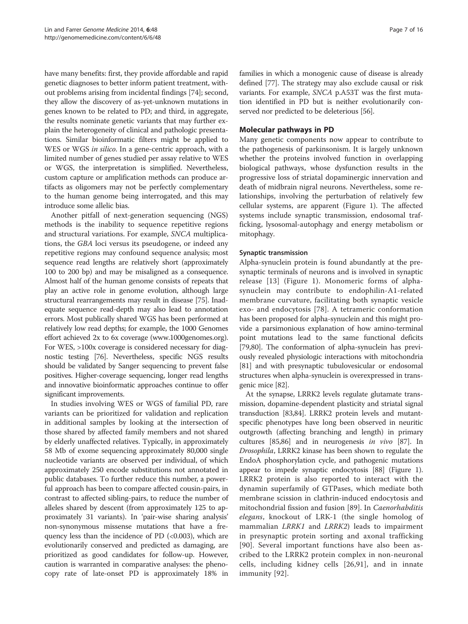have many benefits: first, they provide affordable and rapid genetic diagnoses to better inform patient treatment, without problems arising from incidental findings [\[74\]](#page-13-0); second, they allow the discovery of as-yet-unknown mutations in genes known to be related to PD; and third, in aggregate, the results nominate genetic variants that may further explain the heterogeneity of clinical and pathologic presentations. Similar bioinformatic filters might be applied to WES or WGS in silico. In a gene-centric approach, with a limited number of genes studied per assay relative to WES or WGS, the interpretation is simplified. Nevertheless, custom capture or amplification methods can produce artifacts as oligomers may not be perfectly complementary to the human genome being interrogated, and this may introduce some allelic bias.

Another pitfall of next-generation sequencing (NGS) methods is the inability to sequence repetitive regions and structural variations. For example, SNCA multiplications, the GBA loci versus its pseudogene, or indeed any repetitive regions may confound sequence analysis; most sequence read lengths are relatively short (approximately 100 to 200 bp) and may be misaligned as a consequence. Almost half of the human genome consists of repeats that play an active role in genome evolution, although large structural rearrangements may result in disease [[75](#page-13-0)]. Inadequate sequence read-depth may also lead to annotation errors. Most publically shared WGS has been performed at relatively low read depths; for example, the 1000 Genomes effort achieved 2x to 6x coverage [\(www.1000genomes.org](http://www.1000genomes.org/)). For WES, >100x coverage is considered necessary for diagnostic testing [[76](#page-13-0)]. Nevertheless, specific NGS results should be validated by Sanger sequencing to prevent false positives. Higher-coverage sequencing, longer read lengths and innovative bioinformatic approaches continue to offer significant improvements.

In studies involving WES or WGS of familial PD, rare variants can be prioritized for validation and replication in additional samples by looking at the intersection of those shared by affected family members and not shared by elderly unaffected relatives. Typically, in approximately 58 Mb of exome sequencing approximately 80,000 single nucleotide variants are observed per individual, of which approximately 250 encode substitutions not annotated in public databases. To further reduce this number, a powerful approach has been to compare affected cousin-pairs, in contrast to affected sibling-pairs, to reduce the number of alleles shared by descent (from approximately 125 to approximately 31 variants). In 'pair-wise sharing analysis' non-synonymous missense mutations that have a frequency less than the incidence of  $PD$  (<0.003), which are evolutionarily conserved and predicted as damaging, are prioritized as good candidates for follow-up. However, caution is warranted in comparative analyses: the phenocopy rate of late-onset PD is approximately 18% in families in which a monogenic cause of disease is already defined [\[77](#page-13-0)]. The strategy may also exclude causal or risk variants. For example, SNCA p.A53T was the first mutation identified in PD but is neither evolutionarily conserved nor predicted to be deleterious [[56](#page-12-0)].

## Molecular pathways in PD

Many genetic components now appear to contribute to the pathogenesis of parkinsonism. It is largely unknown whether the proteins involved function in overlapping biological pathways, whose dysfunction results in the progressive loss of striatal dopaminergic innervation and death of midbrain nigral neurons. Nevertheless, some relationships, involving the perturbation of relatively few cellular systems, are apparent (Figure [1](#page-8-0)). The affected systems include synaptic transmission, endosomal trafficking, lysosomal-autophagy and energy metabolism or mitophagy.

#### Synaptic transmission

Alpha-synuclein protein is found abundantly at the presynaptic terminals of neurons and is involved in synaptic release [[13\]](#page-11-0) (Figure [1](#page-8-0)). Monomeric forms of alphasynuclein may contribute to endophilin-A1-related membrane curvature, facilitating both synaptic vesicle exo- and endocytosis [[78](#page-13-0)]. A tetrameric conformation has been proposed for alpha-synuclein and this might provide a parsimonious explanation of how amino-terminal point mutations lead to the same functional deficits [[79](#page-13-0),[80](#page-13-0)]. The conformation of alpha-synuclein has previously revealed physiologic interactions with mitochondria [[81](#page-13-0)] and with presynaptic tubulovesicular or endosomal structures when alpha-synuclein is overexpressed in transgenic mice [\[82\]](#page-13-0).

At the synapse, LRRK2 levels regulate glutamate transmission, dopamine-dependent plasticity and striatal signal transduction [[83,84](#page-13-0)]. LRRK2 protein levels and mutantspecific phenotypes have long been observed in neuritic outgrowth (affecting branching and length) in primary cultures [[85,86](#page-13-0)] and in neurogenesis in vivo [\[87\]](#page-13-0). In Drosophila, LRRK2 kinase has been shown to regulate the EndoA phosphorylation cycle, and pathogenic mutations appear to impede synaptic endocytosis [\[88\]](#page-13-0) (Figure [1](#page-8-0)). LRRK2 protein is also reported to interact with the dynamin superfamily of GTPases, which mediate both membrane scission in clathrin-induced endocytosis and mitochondrial fission and fusion [\[89](#page-13-0)]. In Caenorhabditis elegans, knockout of LRK-1 (the single homolog of mammalian LRRK1 and LRRK2) leads to impairment in presynaptic protein sorting and axonal trafficking [[90](#page-13-0)]. Several important functions have also been ascribed to the LRRK2 protein complex in non-neuronal cells, including kidney cells [[26](#page-11-0)[,91](#page-13-0)], and in innate immunity [[92](#page-13-0)].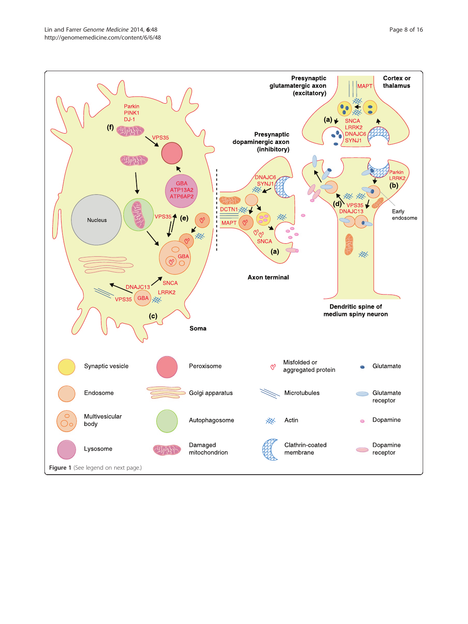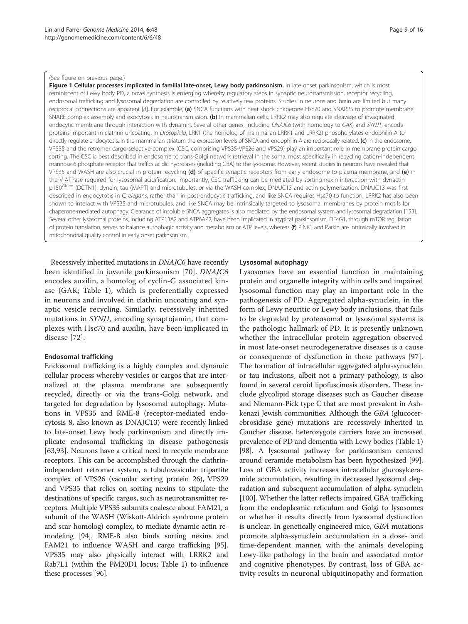#### <span id="page-8-0"></span>(See figure on previous page.)

Figure 1 Cellular processes implicated in familial late-onset, Lewy body parkinsonism. In late onset parkinsonism, which is most reminiscent of Lewy body PD, a novel synthesis is emerging whereby regulatory steps in synaptic neurotransmission, receptor recycling, endosomal trafficking and lysosomal degradation are controlled by relatively few proteins. Studies in neurons and brain are limited but many reciprocal connections are apparent [[8](#page-11-0)]. For example, (a) SNCA functions with heat shock chaperone Hsc70 and SNAP25 to promote membrane SNARE complex assembly and exocytosis in neurotransmission. (b) In mammalian cells, LRRK2 may also regulate cleavage of invaginated endocytic membrane through interaction with dynamin. Several other genes, including DNAJC6 (with homology to GAK) and SYNJ1, encode proteins important in clathrin uncoating. In Drosophila, LRK1 (the homolog of mammalian LRRK1 and LRRK2) phosphorylates endophilin A to directly regulate endocytosis. In the mammalian striatum the expression levels of SNCA and endophilin A are reciprocally related. (c) In the endosome, VPS35 and the retromer cargo-selective-complex (CSC; comprising VPS35-VPS26 and VPS29) play an important role in membrane protein cargo sorting. The CSC is best described in endosome to trans-Golgi network retrieval in the soma, most specifically in recycling cation-independent mannose-6-phosphate receptor that traffics acidic hydrolases (including GBA) to the lysosome. However, recent studies in neurons have revealed that VPS35 and WASH are also crucial in protein recycling (d) of specific synaptic receptors from early endosome to plasma membrane, and (e) in the V-ATPase required for lysosomal acidification. Importantly, CSC trafficking can be mediated by sorting nexin interaction with dynactin p150<sup>Glued</sup> (DCTN1), dynein, tau (MAPT) and microtubules, or via the WASH complex, DNAJC13 and actin polymerization. DNAJC13 was first described in endocytosis in C. elegans, rather than in post-endocytic trafficking, and like SNCA requires Hsc70 to function. LRRK2 has also been shown to interact with VPS35 and microtubules, and like SNCA may be intrinsically targeted to lysosomal membranes by protein motifs for chaperone-mediated autophagy. Clearance of insoluble SNCA aggregates is also mediated by the endosomal system and lysosomal degradation [\[153](#page-15-0)]. Several other lysosomal proteins, including ATP13A2 and ATP6AP2, have been implicated in atypical parkinsonism. EIF4G1, through mTOR regulation of protein translation, serves to balance autophagic activity and metabolism or ATP levels, whereas (f) PINK1 and Parkin are intrinsically involved in mitochondrial quality control in early onset parknsonism.

Recessively inherited mutations in DNAJC6 have recently been identified in juvenile parkinsonism [\[70](#page-13-0)]. DNAJC6 encodes auxilin, a homolog of cyclin-G associated kinase (GAK; Table [1](#page-3-0)), which is preferentially expressed in neurons and involved in clathrin uncoating and synaptic vesicle recycling. Similarly, recessively inherited mutations in SYNJ1, encoding synaptojamin, that complexes with Hsc70 and auxilin, have been implicated in disease [[72\]](#page-13-0).

## Endosomal trafficking

Endosomal trafficking is a highly complex and dynamic cellular process whereby vesicles or cargos that are internalized at the plasma membrane are subsequently recycled, directly or via the trans-Golgi network, and targeted for degradation by lysosomal autophagy. Mutations in VPS35 and RME-8 (receptor-mediated endocytosis 8, also known as DNAJC13) were recently linked to late-onset Lewy body parkinsonism and directly implicate endosomal trafficking in disease pathogenesis [[63,](#page-12-0)[93\]](#page-13-0). Neurons have a critical need to recycle membrane receptors. This can be accomplished through the clathrinindependent retromer system, a tubulovesicular tripartite complex of VPS26 (vacuolar sorting protein 26), VPS29 and VPS35 that relies on sorting nexins to stipulate the destinations of specific cargos, such as neurotransmitter receptors. Multiple VPS35 subunits coalesce about FAM21, a subunit of the WASH (Wiskott-Aldrich syndrome protein and scar homolog) complex, to mediate dynamic actin remodeling [\[94\]](#page-13-0). RME-8 also binds sorting nexins and FAM21 to influence WASH and cargo trafficking [[95](#page-13-0)]. VPS35 may also physically interact with LRRK2 and Rab7L1 (within the PM20D1 locus; Table [1](#page-3-0)) to influence these processes [[96](#page-13-0)].

## Lysosomal autophagy

Lysosomes have an essential function in maintaining protein and organelle integrity within cells and impaired lysosomal function may play an important role in the pathogenesis of PD. Aggregated alpha-synuclein, in the form of Lewy neuritic or Lewy body inclusions, that fails to be degraded by proteosomal or lysosomal systems is the pathologic hallmark of PD. It is presently unknown whether the intracellular protein aggregation observed in most late-onset neurodegenerative diseases is a cause or consequence of dysfunction in these pathways [\[97](#page-13-0)]. The formation of intracellular aggregated alpha-synuclein or tau inclusions, albeit not a primary pathology, is also found in several ceroid lipofuscinosis disorders. These include glycolipid storage diseases such as Gaucher disease and Niemann-Pick type C that are most prevalent in Ashkenazi Jewish communities. Although the GBA (glucocerebrosidase gene) mutations are recessively inherited in Gaucher disease, heterozygote carriers have an increased prevalence of PD and dementia with Lewy bodies (Table [1](#page-3-0)) [[98](#page-13-0)]. A lysosomal pathway for parkinsonism centered around ceramide metabolism has been hypothesized [[99](#page-14-0)]. Loss of GBA activity increases intracellular glucosylceramide accumulation, resulting in decreased lysosomal degradation and subsequent accumulation of alpha-synuclein [[100](#page-14-0)]. Whether the latter reflects impaired GBA trafficking from the endoplasmic reticulum and Golgi to lysosomes or whether it results directly from lysosomal dysfunction is unclear. In genetically engineered mice, GBA mutations promote alpha-synuclein accumulation in a dose- and time-dependent manner, with the animals developing Lewy-like pathology in the brain and associated motor and cognitive phenotypes. By contrast, loss of GBA activity results in neuronal ubiquitinopathy and formation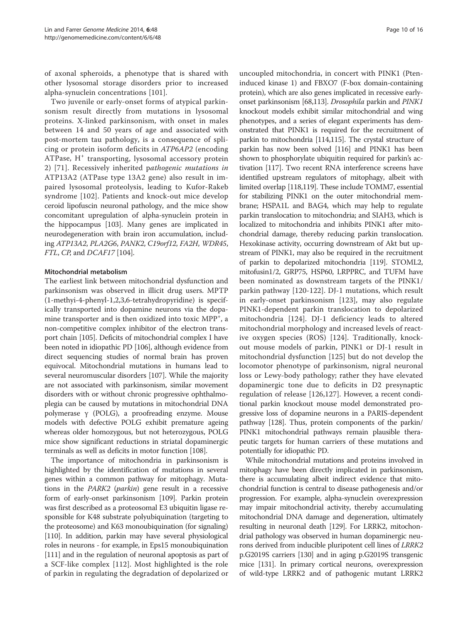of axonal spheroids, a phenotype that is shared with other lysosomal storage disorders prior to increased alpha-synuclein concentrations [[101\]](#page-14-0).

Two juvenile or early-onset forms of atypical parkinsonism result directly from mutations in lysosomal proteins. X-linked parkinsonism, with onset in males between 14 and 50 years of age and associated with post-mortem tau pathology, is a consequence of splicing or protein isoform deficits in ATP6AP2 (encoding ATPase, H<sup>+</sup> transporting, lysosomal accessory protein 2) [\[71\]](#page-13-0). Recessively inherited pathogenic mutations in ATP13A2 (ATPase type 13A2 gene) also result in impaired lysosomal proteolysis, leading to Kufor-Rakeb syndrome [\[102\]](#page-14-0). Patients and knock-out mice develop ceroid lipofuscin neuronal pathology, and the mice show concomitant upregulation of alpha-synuclein protein in the hippocampus [\[103](#page-14-0)]. Many genes are implicated in neurodegeneration with brain iron accumulation, including ATP13A2, PLA2G6, PANK2, C19orf12, FA2H, WDR45, FTL, CP, and DCAF17 [[104](#page-14-0)].

## Mitochondrial metabolism

The earliest link between mitochondrial dysfunction and parkinsonism was observed in illicit drug users. MPTP (1-methyi-4-phenyl-1,2,3,6-tetrahydropyridine) is specifically transported into dopamine neurons via the dopamine transporter and is then oxidized into toxic MPP<sup>+</sup>, a non-competitive complex inhibitor of the electron transport chain [\[105](#page-14-0)]. Deficits of mitochondrial complex I have been noted in idiopathic PD [\[106\]](#page-14-0), although evidence from direct sequencing studies of normal brain has proven equivocal. Mitochondrial mutations in humans lead to several neuromuscular disorders [\[107\]](#page-14-0). While the majority are not associated with parkinsonism, similar movement disorders with or without chronic progressive ophthalmoplegia can be caused by mutations in mitochondrial DNA polymerase γ (POLG), a proofreading enzyme. Mouse models with defective POLG exhibit premature ageing whereas older homozygous, but not heterozygous, POLG mice show significant reductions in striatal dopaminergic terminals as well as deficits in motor function [[108](#page-14-0)].

The importance of mitochondria in parkinsonism is highlighted by the identification of mutations in several genes within a common pathway for mitophagy. Mutations in the PARK2 (parkin) gene result in a recessive form of early-onset parkinsonism [[109](#page-14-0)]. Parkin protein was first described as a proteosomal E3 ubiquitin ligase responsible for K48 substrate polyubiquination (targeting to the proteosome) and K63 monoubiquination (for signaling) [[110\]](#page-14-0). In addition, parkin may have several physiological roles in neurons - for example, in Eps15 monoubiquination [[111\]](#page-14-0) and in the regulation of neuronal apoptosis as part of a SCF-like complex [[112\]](#page-14-0). Most highlighted is the role of parkin in regulating the degradation of depolarized or

uncoupled mitochondria, in concert with PINK1 (Pteninduced kinase 1) and FBXO7 (F-box domain-containing protein), which are also genes implicated in recessive earlyonset parkinsonism [\[68](#page-13-0)[,113](#page-14-0)]. Drosophila parkin and PINK1 knockout models exhibit similar mitochondrial and wing phenotypes, and a series of elegant experiments has demonstrated that PINK1 is required for the recruitment of parkin to mitochondria [[114,115](#page-14-0)]. The crystal structure of parkin has now been solved [\[116\]](#page-14-0) and PINK1 has been shown to phosphorylate ubiquitin required for parkin's activation [\[117](#page-14-0)]. Two recent RNA interference screens have identified upstream regulators of mitophagy, albeit with limited overlap [\[118,119\]](#page-14-0). These include TOMM7, essential for stabilizing PINK1 on the outer mitochondrial membrane; HSPA1L and BAG4, which may help to regulate parkin translocation to mitochondria; and SIAH3, which is localized to mitochondria and inhibits PINK1 after mitochondrial damage, thereby reducing parkin translocation. Hexokinase activity, occurring downstream of Akt but upstream of PINK1, may also be required in the recruitment of parkin to depolarized mitochondria [\[119](#page-14-0)]. STOML2, mitofusin1/2, GRP75, HSP60, LRPPRC, and TUFM have been nominated as downstream targets of the PINK1/ parkin pathway [\[120](#page-14-0)-[122](#page-14-0)]. DJ-1 mutations, which result in early-onset parkinsonism [[123\]](#page-14-0), may also regulate PINK1-dependent parkin translocation to depolarized mitochondria [\[124](#page-14-0)]. DJ-1 deficiency leads to altered mitochondrial morphology and increased levels of reactive oxygen species (ROS) [[124\]](#page-14-0). Traditionally, knockout mouse models of parkin, PINK1 or DJ-1 result in mitochondrial dysfunction [[125\]](#page-14-0) but do not develop the locomotor phenotype of parkinsonism, nigral neuronal loss or Lewy-body pathology; rather they have elevated dopaminergic tone due to deficits in D2 presynaptic regulation of release [[126](#page-14-0),[127\]](#page-14-0). However, a recent conditional parkin knockout mouse model demonstrated progressive loss of dopamine neurons in a PARIS-dependent pathway [[128](#page-14-0)]. Thus, protein components of the parkin/ PINK1 mitochondrial pathways remain plausible therapeutic targets for human carriers of these mutations and potentially for idiopathic PD.

While mitochondrial mutations and proteins involved in mitophagy have been directly implicated in parkinsonism, there is accumulating albeit indirect evidence that mitochondrial function is central to disease pathogenesis and/or progression. For example, alpha-synuclein overexpression may impair mitochondrial activity, thereby accumulating mitochondrial DNA damage and degeneration, ultimately resulting in neuronal death [\[129](#page-14-0)]. For LRRK2, mitochondrial pathology was observed in human dopaminergic neurons derived from inducible pluripotent cell lines of LRRK2 p.G2019S carriers [\[130](#page-14-0)] and in aging p.G2019S transgenic mice [[131](#page-14-0)]. In primary cortical neurons, overexpression of wild-type LRRK2 and of pathogenic mutant LRRK2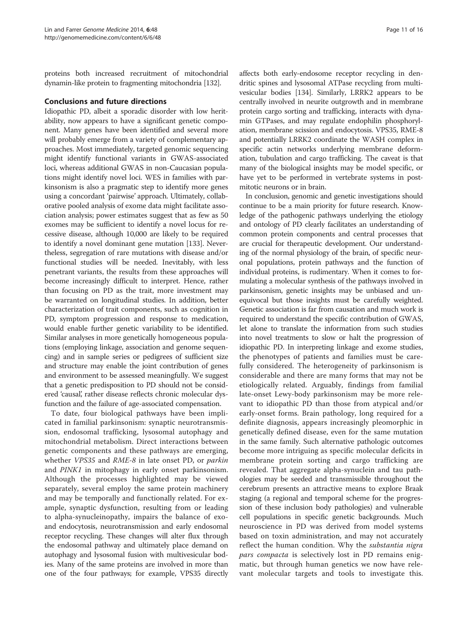proteins both increased recruitment of mitochondrial dynamin-like protein to fragmenting mitochondria [\[132\]](#page-14-0).

## Conclusions and future directions

Idiopathic PD, albeit a sporadic disorder with low heritability, now appears to have a significant genetic component. Many genes have been identified and several more will probably emerge from a variety of complementary approaches. Most immediately, targeted genomic sequencing might identify functional variants in GWAS-associated loci, whereas additional GWAS in non-Caucasian populations might identify novel loci. WES in families with parkinsonism is also a pragmatic step to identify more genes using a concordant 'pairwise' approach. Ultimately, collaborative pooled analysis of exome data might facilitate association analysis; power estimates suggest that as few as 50 exomes may be sufficient to identify a novel locus for recessive disease, although 10,000 are likely to be required to identify a novel dominant gene mutation [\[133\]](#page-15-0). Nevertheless, segregation of rare mutations with disease and/or functional studies will be needed. Inevitably, with less penetrant variants, the results from these approaches will become increasingly difficult to interpret. Hence, rather than focusing on PD as the trait, more investment may be warranted on longitudinal studies. In addition, better characterization of trait components, such as cognition in PD, symptom progression and response to medication, would enable further genetic variability to be identified. Similar analyses in more genetically homogeneous populations (employing linkage, association and genome sequencing) and in sample series or pedigrees of sufficient size and structure may enable the joint contribution of genes and environment to be assessed meaningfully. We suggest that a genetic predisposition to PD should not be considered 'causal', rather disease reflects chronic molecular dysfunction and the failure of age-associated compensation.

To date, four biological pathways have been implicated in familial parkinsonism: synaptic neurotransmission, endosomal trafficking, lysosomal autophagy and mitochondrial metabolism. Direct interactions between genetic components and these pathways are emerging, whether *VPS35* and *RME-8* in late onset PD, or *parkin* and PINK1 in mitophagy in early onset parkinsonism. Although the processes highlighted may be viewed separately, several employ the same protein machinery and may be temporally and functionally related. For example, synaptic dysfunction, resulting from or leading to alpha-synucleinopathy, impairs the balance of exoand endocytosis, neurotransmission and early endosomal receptor recycling. These changes will alter flux through the endosomal pathway and ultimately place demand on autophagy and lysosomal fusion with multivesicular bodies. Many of the same proteins are involved in more than one of the four pathways; for example, VPS35 directly

affects both early-endosome receptor recycling in dendritic spines and lysosomal ATPase recycling from multivesicular bodies [[134](#page-15-0)]. Similarly, LRRK2 appears to be centrally involved in neurite outgrowth and in membrane protein cargo sorting and trafficking, interacts with dynamin GTPases, and may regulate endophilin phosphorylation, membrane scission and endocytosis. VPS35, RME-8 and potentially LRRK2 coordinate the WASH complex in specific actin networks underlying membrane deformation, tubulation and cargo trafficking. The caveat is that many of the biological insights may be model specific, or have yet to be performed in vertebrate systems in postmitotic neurons or in brain.

In conclusion, genomic and genetic investigations should continue to be a main priority for future research. Knowledge of the pathogenic pathways underlying the etiology and ontology of PD clearly facilitates an understanding of common protein components and central processes that are crucial for therapeutic development. Our understanding of the normal physiology of the brain, of specific neuronal populations, protein pathways and the function of individual proteins, is rudimentary. When it comes to formulating a molecular synthesis of the pathways involved in parkinsonism, genetic insights may be unbiased and unequivocal but those insights must be carefully weighted. Genetic association is far from causation and much work is required to understand the specific contribution of GWAS, let alone to translate the information from such studies into novel treatments to slow or halt the progression of idiopathic PD. In interpreting linkage and exome studies, the phenotypes of patients and families must be carefully considered. The heterogeneity of parkinsonism is considerable and there are many forms that may not be etiologically related. Arguably, findings from familial late-onset Lewy-body parkinsonism may be more relevant to idiopathic PD than those from atypical and/or early-onset forms. Brain pathology, long required for a definite diagnosis, appears increasingly pleomorphic in genetically defined disease, even for the same mutation in the same family. Such alternative pathologic outcomes become more intriguing as specific molecular deficits in membrane protein sorting and cargo trafficking are revealed. That aggregate alpha-synuclein and tau pathologies may be seeded and transmissible throughout the cerebrum presents an attractive means to explore Braak staging (a regional and temporal scheme for the progression of these inclusion body pathologies) and vulnerable cell populations in specific genetic backgrounds. Much neuroscience in PD was derived from model systems based on toxin administration, and may not accurately reflect the human condition. Why the *substantia nigra* pars compacta is selectively lost in PD remains enigmatic, but through human genetics we now have relevant molecular targets and tools to investigate this.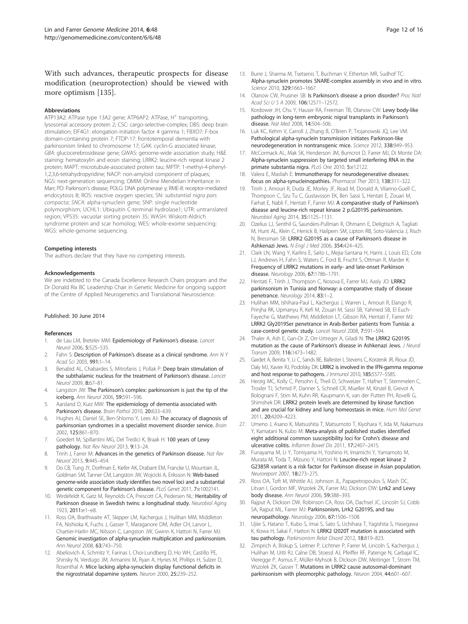<span id="page-11-0"></span>With such advances, therapeutic prospects for disease modification (neuroprotection) should be viewed with more optimism [[135](#page-15-0)].

#### Abbreviations

ATP13A2: ATPase type 13A2 gene; ATP6AP2: ATPase, H<sup>+</sup> transporting, lysosomal accessory protein 2; CSC: cargo-selective-complex; DBS: deep brain stimulation; EIF4G1: elongation initiation factor 4 gamma 1; FBXO7: F-box domain-containing protein 7; FTDP-17: frontotemporal dementia with parkinsonism linked to chromosome 17; GAK: cyclin-G associated kinase; GBA: glucocerebrosidease gene; GWAS: genome-wide association study; H&E staining: hematoxylin and eosin staining; LRRK2: leucine-rich repeat kinase 2 protein; MAPT: microtubule-associated protein tau; MPTP: 1-methyi-4-phenyl-1,2,3,6-tetrahydropyridine; NACP: non-amyloid component of plaques; NGS: next-generation sequencing; OMIM: Online Mendelian Inheritance in Man; PD: Parkinson's disease; POLG: DNA polymerase γ; RME-8: receptor-mediated endocytosis 8; ROS: reactive oxygen species; SN: substantial nigra pars compacta; SNCA: alpha-synuclein gene; SNP: single nucleotide polymorphism; UCHL1: Ubiquitin C-terminal hydrolase1; UTR: untranslated region; VPS35: vacuolar sorting protein 35; WASH: Wiskott-Aldrich syndrome protein and scar homolog; WES: whole-exome sequencing; WGS: whole-genome sequencing.

#### Competing interests

The authors declare that they have no competing interests.

#### Acknowledgements

We are indebted to the Canada Excellence Research Chairs program and the Dr Donald Rix BC Leadership Chair in Genetic Medicine for ongoing support of the Centre of Applied Neurogenetics and Translational Neuroscience.

#### Published: 30 June 2014

#### References

- de Lau LM, Breteler MM: Epidemiology of Parkinson's disease. Lancet Neurol 2006, 5:525–535.
- 2. Fahn S: Description of Parkinson's disease as a clinical syndrome. Ann N Y Acad Sci 2003, 991:1–14.
- 3. Benabid AL, Chabardes S, Mitrofanis J, Pollak P: Deep brain stimulation of the subthalamic nucleus for the treatment of Parkinson's disease. Lancet Neurol 2009, 8:67–81.
- 4. Langston JW: The Parkinson's complex: parkinsonism is just the tip of the iceberg. Ann Neurol 2006, 59:591–596.
- 5. Aarsland D, Kurz MW: The epidemiology of dementia associated with Parkinson's disease. Brain Pathol 2010, 20:633–639.
- 6. Hughes AJ, Daniel SE, Ben-Shlomo Y, Lees AJ: The accuracy of diagnosis of parkinsonian syndromes in a specialist movement disorder service. Brain 2002, 125:861–870.
- 7. Goedert M, Spillantini MG, Del Tredici K, Braak H: 100 years of Lewy pathology. Nat Rev Neurol 2013, 9:13–24.
- 8. Trinh J, Farrer M: Advances in the genetics of Parkinson disease. Nat Rev Neurol 2013, 9:445–454.
- 9. Do CB, Tung JY, Dorfman E, Kiefer AK, Drabant EM, Francke U, Mountain JL, Goldman SM, Tanner CM, Langston JW, Wojcicki A, Eriksson N: Web-based genome-wide association study identifies two novel loci and a substantial genetic component for Parkinson's disease. PLoS Genet 2011, 7:e1002141.
- 10. Wirdefeldt K, Gatz M, Reynolds CA, Prescott CA, Pedersen NL: Heritability of Parkinson disease in Swedish twins: a longitudinal study. Neurobiol Aging 1923, 2011:e1–e8.
- 11. Ross OA, Braithwaite AT, Skipper LM, Kachergus J, Hulihan MM, Middleton FA, Nishioka K, Fuchs J, Gasser T, Maraganore DM, Adler CH, Larvor L, Chartier-Harlin MC, Nilsson C, Langston JW, Gwinn K, Hattori N, Farrer MJ: Genomic investigation of alpha-synuclein multiplication and parkinsonism. Ann Neurol 2008, 63:743–750.
- 12. Abeliovich A, Schmitz Y, Farinas I, Choi-Lundberg D, Ho WH, Castillo PE, Shinsky N, Verdugo JM, Armanini M, Ryan A, Hynes M, Phillips H, Sulzer D, Rosenthal A: Mice lacking alpha-synuclein display functional deficits in the nigrostriatal dopamine system. Neuron 2000, 25:239–252.
- 13. Burre J, Sharma M, Tsetsenis T, Buchman V, Etherton MR, Sudhof TC: Alpha-synuclein promotes SNARE-complex assembly in vivo and in vitro. Science 2010, 329:1663–1667.
- 14. Olanow CW, Prusiner SB: Is Parkinson's disease a prion disorder? Proc Natl Acad Sci U S A 2009, 106:12571–12572.
- 15. Kordower JH, Chu Y, Hauser RA, Freeman TB, Olanow CW: Lewy body-like pathology in long-term embryonic nigral transplants in Parkinson's disease. Nat Med 2008, 14:504–506.
- 16. Luk KC, Kehm V, Carroll J, Zhang B, O'Brien P, Trojanowski JQ, Lee VM: Pathological alpha-synuclein transmission initiates Parkinson-like neurodegeneration in nontransgenic mice. Science 2012, 338:949–953.
- 17. McCormack AL, Mak SK, Henderson JM, Bumcrot D, Farrer MJ, Di Monte DA: Alpha-synuclein suppression by targeted small interfering RNA in the primate substantia nigra. PLoS One 2010, 5:e12122.
- 18. Valera E, Masliah E: Immunotherapy for neurodegenerative diseases: focus on alpha-synucleinopathies. Pharmacol Ther 2013, 138:311–322.
- 19. Trinh J, Amouri R, Duda JE, Morley JF, Read M, Donald A, Vilarino-Guell C, Thompson C, Szu Tu C, Gustavsson EK, Ben Sassi S, Hentati E, Zouari M, Farhat E, Nabli F, Hentati F, Farrer MJ: A comparative study of Parkinson's disease and leucine-rich repeat kinase 2 p.G2019S parkinsonism. Neurobiol Aging 2014, 35:1125–1131.
- 20. Ozelius LJ, Senthil G, Saunders-Pullman R, Ohmann E, Deligtisch A, Tagliati M, Hunt AL, Klein C, Henick B, Hailpern SM, Lipton RB, Soto-Valencia J, Risch N, Bressman SB: LRRK2 G2019S as a cause of Parkinson's disease in Ashkenazi Jews. N Engl J Med 2006, 354:424–425.
- 21. Clark LN, Wang Y, Karlins E, Saito L, Mejia-Santana H, Harris J, Louis ED, Cote LJ, Andrews H, Fahn S, Waters C, Ford B, Frucht S, Ottman R, Marder K: Frequency of LRRK2 mutations in early- and late-onset Parkinson disease. Neurology 2006, 67:1786–1791.
- 22. Hentati F, Trinh J, Thompson C, Nosova E, Farrer MJ, Aasly JO: LRRK2 parkinsonism in Tunisia and Norway: a comparative study of disease penetrance. Neurology 2014, 83:1–2.
- 23. Hulihan MM, Ishihara-Paul L, Kachergus J, Warren L, Amouri R, Elango R, Prinjha RK, Upmanyu R, Kefi M, Zouari M, Sassi SB, Yahmed SB, El Euch-Fayeche G, Matthews PM, Middleton LT, Gibson RA, Hentati F, Farrer MJ: LRRK2 Gly2019Ser penetrance in Arab-Berber patients from Tunisia: a case-control genetic study. Lancet Neurol 2008, 7:591–594.
- 24. Thaler A, Ash E, Gan-Or Z, Orr-Urtreger A, Giladi N: The LRRK2 G2019S mutation as the cause of Parkinson's disease in Ashkenazi Jews. J Neural Transm 2009, 116:1473–1482.
- 25. Gardet A, Benita Y, Li C, Sands BE, Ballester I, Stevens C, Korzenik JR, Rioux JD, Daly MJ, Xavier RJ, Podolsky DK: LRRK2 is involved in the IFN-gamma response and host response to pathogens. J Immunol 2010, 185:5577-5585.
- 26. Herzig MC, Kolly C, Persohn E, Theil D, Schweizer T, Hafner T, Stemmelen C, Troxler TJ, Schmid P, Danner S, Schnell CR, Mueller M, Kinzel B, Grevot A, Bolognani F, Stirn M, Kuhn RR, Kaupmann K, van der Putten PH, Rovelli G, Shimshek DR: LRRK2 protein levels are determined by kinase function and are crucial for kidney and lung homeostasis in mice. Hum Mol Genet 2011, 20:4209–4223.
- 27. Umeno J, Asano K, Matsushita T, Matsumoto T, Kiyohara Y, Iida M, Nakamura Y, Kamatani N, Kubo M: Meta-analysis of published studies identified eight additional common susceptibility loci for Crohn's disease and ulcerative colitis. Inflamm Bowel Dis 2011, 17:2407–2415.
- 28. Funayama M, Li Y, Tomiyama H, Yoshino H, Imamichi Y, Yamamoto M, Murata M, Toda T, Mizuno Y, Hattori N: Leucine-rich repeat kinase 2 G2385R variant is a risk factor for Parkinson disease in Asian population. Neuroreport 2007, 18:273–275.
- 29. Ross OA, Toft M, Whittle AJ, Johnson JL, Papapetropoulos S, Mash DC, Litvan I, Gordon MF, Wszolek ZK, Farrer MJ, Dickson DW: Lrrk2 and Lewy body disease. Ann Neurol 2006, 59:388–393.
- 30. Rajput A, Dickson DW, Robinson CA, Ross OA, Dachsel JC, Lincoln SJ, Cobb SA, Rajput ML, Farrer MJ: Parkinsonism, Lrrk2 G2019S, and tau neuropathology. Neurology 2006, 67:1506–1508.
- 31. Ujiie S, Hatano T, Kubo S, Imai S, Sato S, Uchihara T, Yagishita S, Hasegawa K, Kowa H, Sakai F, Hattori N: LRRK2 I2020T mutation is associated with tau pathology. Parkinsonism Relat Disord 2012, 18:819-823.
- 32. Zimprich A, Biskup S, Leitner P, Lichtner P, Farrer M, Lincoln S, Kachergus J, Hulihan M, Uitti RJ, Calne DB, Stoessl AJ, Pfeiffer RF, Patenge N, Carbajal IC, Vieregge P, Asmus F, Müller-Myhsok B, Dickson DW, Meitinger T, Strom TM, Wszolek ZK, Gasser T: Mutations in LRRK2 cause autosomal-dominant parkinsonism with pleomorphic pathology. Neuron 2004, 44:601-607.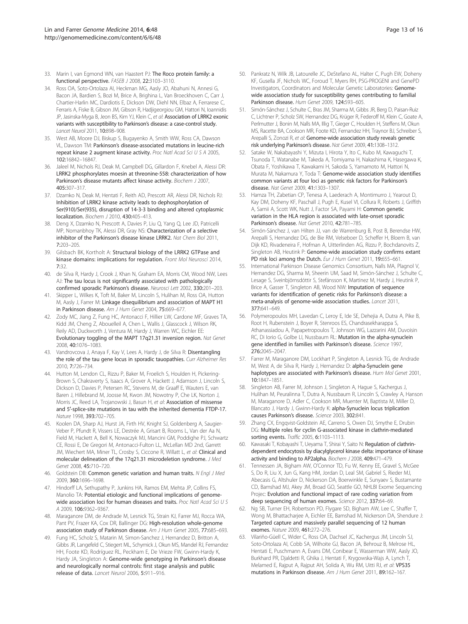- <span id="page-12-0"></span>33. Marin I, van Egmond WN, van Haastert PJ: The Roco protein family: a functional perspective. FASEB J 2008, 22:3103–3110.
- 34. Ross OA, Soto-Ortolaza AI, Heckman MG, Aasly JO, Abahuni N, Annesi G, Bacon JA, Bardien S, Bozi M, Brice A, Brighina L, Van Broeckhoven C, Carr J, Chartier-Harlin MC, Dardiotis E, Dickson DW, Diehl NN, Elbaz A, Ferrarese C, Ferraris A, Fiske B, Gibson JM, Gibson R, Hadjigeorgiou GM, Hattori N, Ioannidis JP, Jasinska-Myga B, Jeon BS, Kim YJ, Klein C, et al: Association of LRRK2 exonic variants with susceptibility to Parkinson's disease: a case-control study. Lancet Neurol 2011, 10:898–908.
- 35. West AB, Moore DJ, Biskup S, Bugayenko A, Smith WW, Ross CA, Dawson VL, Dawson TM: Parkinson's disease-associated mutations in leucine-rich repeat kinase 2 augment kinase activity. Proc Natl Acad Sci U S A 2005, 102:16842–16847.
- 36. Jaleel M, Nichols RJ, Deak M, Campbell DG, Gillardon F, Knebel A, Alessi DR: LRRK2 phosphorylates moesin at threonine-558: characterization of how Parkinson's disease mutants affect kinase activity. Biochem J 2007, 405:307–317.
- 37. Dzamko N, Deak M, Hentati F, Reith AD, Prescott AR, Alessi DR, Nichols RJ: Inhibition of LRRK2 kinase activity leads to dephosphorylation of Ser(910)/Ser(935), disruption of 14-3-3 binding and altered cytoplasmic localization. Biochem J 2010, 430:405–413.
- 38. Deng X, Dzamko N, Prescott A, Davies P, Liu Q, Yang Q, Lee JD, Patricelli MP, Nomanbhoy TK, Alessi DR, Gray NS: Characterization of a selective inhibitor of the Parkinson's disease kinase LRRK2. Nat Chem Biol 2011, 7:203–205.
- 39. Gilsbach BK, Kortholt A: Structural biology of the LRRK2 GTPase and kinase domains: implications for regulation. Front Mol Neurosci 2014, 7:32.
- 40. de Silva R, Hardy J, Crook J, Khan N, Graham EA, Morris CM, Wood NW, Lees AJ: The tau locus is not significantly associated with pathologically confirmed sporadic Parkinson's disease. Neurosci Lett 2002, 330:201–203.
- 41. Skipper L, Wilkes K, Toft M, Baker M, Lincoln S, Hulihan M, Ross OA, Hutton M, Aasly J, Farrer M: Linkage disequilibrium and association of MAPT H1 in Parkinson disease. Am J Hum Genet 2004, 75:669–677.
- 42. Zody MC, Jiang Z, Fung HC, Antonacci F, Hillier LW, Cardone MF, Graves TA, Kidd JM, Cheng Z, Abouelleil A, Chen L, Wallis J, Glasscock J, Wilson RK, Reily AD, Duckworth J, Ventura M, Hardy J, Warren WC, Eichler EE: Evolutionary toggling of the MAPT 17q21.31 inversion region. Nat Genet 2008, 40:1076–1083.
- 43. Vandrovcova J, Anaya F, Kay V, Lees A, Hardy J, de Silva R: Disentangling the role of the tau gene locus in sporadic tauopathies. Curr Alzheimer Res 2010, 7:726–734.
- 44. Hutton M, Lendon CL, Rizzu P, Baker M, Froelich S, Houlden H, Pickering-Brown S, Chakraverty S, Isaacs A, Grover A, Hackett J, Adamson J, Lincoln S, Dickson D, Davies P, Petersen RC, Stevens M, de Graaff E, Wauters E, van Baren J, Hillebrand M, Joosse M, Kwon JM, Nowotny P, Che LK, Norton J, Morris JC, Reed LA, Trojanowski J, Basun H, et al: Association of missense and 5′-splice-site mutations in tau with the inherited dementia FTDP-17. Nature 1998, 393:702–705.
- 45. Koolen DA, Sharp AJ, Hurst JA, Firth HV, Knight SJ, Goldenberg A, Saugier-Veber P, Pfundt R, Vissers LE, Destrée A, Grisart B, Rooms L, Van der Aa N, Field M, Hackett A, Bell K, Nowaczyk MJ, Mancini GM, Poddighe PJ, Schwartz CE, Rossi E, De Gregori M, Antonacci-Fulton LL, McLellan MD 2nd, Garrett JM, Wiechert MA, Miner TL, Crosby S, Ciccone R, Willatt L, et al: Clinical and molecular delineation of the 17q21.31 microdeletion syndrome. J Med Genet 2008, 45:710–720.
- 46. Goldstein DB: Common genetic variation and human traits. N Engl J Med 2009, 360:1696–1698.
- 47. Hindorff LA, Sethupathy P, Junkins HA, Ramos EM, Mehta JP, Collins FS, Manolio TA: Potential etiologic and functional implications of genomewide association loci for human diseases and traits. Proc Natl Acad Sci U S A 2009, 106:9362–9367.
- 48. Maraganore DM, de Andrade M, Lesnick TG, Strain KJ, Farrer MJ, Rocca WA, Pant PV, Frazer KA, Cox DR, Ballinger DG: High-resolution whole-genome association study of Parkinson disease. Am J Hum Genet 2005, 77:685–693.
- 49. Fung HC, Scholz S, Matarin M, Simon-Sanchez J, Hernandez D, Britton A, Gibbs JR, Langefeld C, Stiegert ML, Schymick J, Okun MS, Mandel RJ, Fernandez HH, Foote KD, Rodríguez RL, Peckham E, De Vrieze FW, Gwinn-Hardy K, Hardy JA, Singleton A: Genome-wide genotyping in Parkinson's disease and neurologically normal controls: first stage analysis and public release of data. Lancet Neurol 2006, 5:911–916.
- 50. Pankratz N, Wilk JB, Latourelle JC, DeStefano AL, Halter C, Pugh EW, Doheny KF, Gusella JF, Nichols WC, Foroud T, Myers RH, PSG-PROGENI and GenePD Investigators, Coordinators and Molecular Genetic Laboratories: Genomewide association study for susceptibility genes contributing to familial Parkinson disease. Hum Genet 2009, 124:593–605.
- 51. Simón-Sánchez J, Schulte C, Bras JM, Sharma M, Gibbs JR, Berg D, Paisan-Ruiz C, Lichtner P, Scholz SW, Hernandez DG, Krüger R, Federoff M, Klein C, Goate A, Perlmutter J, Bonin M, Nalls MA, Illig T, Gieger C, Houlden H, Steffens M, Okun MS, Racette BA, Cookson MR, Foote KD, Fernandez HH, Traynor BJ, Schreiber S, Arepalli S, Zonozi R, et al: Genome-wide association study reveals genetic risk underlying Parkinson's disease. Nat Genet 2009, 41:1308–1312.
- 52. Satake W, Nakabayashi Y, Mizuta I, Hirota Y, Ito C, Kubo M, Kawaguchi T, Tsunoda T, Watanabe M, Takeda A, Tomiyama H, Nakashima K, Hasegawa K, Obata F, Yoshikawa T, Kawakami H, Sakoda S, Yamamoto M, Hattori N, Murata M, Nakamura Y, Toda T: Genome-wide association study identifies common variants at four loci as genetic risk factors for Parkinson's disease. Nat Genet 2009, 41:1303–1307.
- 53. Hamza TH, Zabetian CP, Tenesa A, Laederach A, Montimurro J, Yearout D, Kay DM, Doheny KF, Paschall J, Pugh E, Kusel VI, Collura R, Roberts J, Griffith A, Samii A, Scott WK, Nutt J, Factor SA, Payami H: Common genetic variation in the HLA region is associated with late-onset sporadic Parkinson's disease. Nat Genet 2010, 42:781–785.
- 54. Simón-Sánchez J, van Hilten JJ, van de Warrenburg B, Post B, Berendse HW, Arepalli S, Hernandez DG, de Bie RM, Velseboer D, Scheffer H, Bloem B, van Dijk KD, Rivadeneira F, Hofman A, Uitterlinden AG, Rizzu P, Bochdanovits Z, Singleton AB, Heutink P: Genome-wide association study confirms extant PD risk loci among the Dutch. Eur J Hum Genet 2011, 19:655-661.
- 55. International Parkinson Disease Genomics Consortium, Nalls MA, Plagnol V, Hernandez DG, Sharma M, Sheerin UM, Saad M, Simón-Sánchez J, Schulte C, Lesage S, Sveinbjörnsdóttir S, Stefánsson K, Martinez M, Hardy J, Heutink P, Brice A, Gasser T, Singleton AB, Wood NW: Imputation of sequence variants for identification of genetic risks for Parkinson's disease: a meta-analysis of genome-wide association studies. Lancet 2011, 377:641–649.
- 56. Polymeropoulos MH, Lavedan C, Leroy E, Ide SE, Dehejia A, Dutra A, Pike B, Root H, Rubenstein J, Boyer R, Stenroos ES, Chandrasekharappa S, Athanassiadou A, Papapetropoulos T, Johnson WG, Lazzarini AM, Duvoisin RC, Di Iorio G, Golbe LI, Nussbaum RL: Mutation in the alpha-synuclein gene identified in families with Parkinson's disease. Science 1997, 276:2045–2047.
- 57. Farrer M, Maraganore DM, Lockhart P, Singleton A, Lesnick TG, de Andrade M, West A, de Silva R, Hardy J, Hernandez D: alpha-Synuclein gene haplotypes are associated with Parkinson's disease. Hum Mol Genet 2001, 10:1847–1851.
- 58. Singleton AB, Farrer M, Johnson J, Singleton A, Hague S, Kachergus J, Hulihan M, Peuralinna T, Dutra A, Nussbaum R, Lincoln S, Crawley A, Hanson M, Maraganore D, Adler C, Cookson MR, Muenter M, Baptista M, Miller D, Blancato J, Hardy J, Gwinn-Hardy K: alpha-Synuclein locus triplication causes Parkinson's disease. Science 2003, 302:841.
- 59. Zhang CX, Engqvist-Goldstein AE, Carreno S, Owen DJ, Smythe E, Drubin DG: Multiple roles for cyclin G-associated kinase in clathrin-mediated sorting events. Traffic 2005, 6:1103–1113.
- 60. Kawasaki T, Kobayashi T, Ueyama T, Shirai Y, Saito N: Regulation of clathrindependent endocytosis by diacylglycerol kinase delta: importance of kinase activity and binding to AP2alpha. Biochem J 2008, 409:471–479.
- 61. Tennessen JA, Bigham AW, O'Connor TD, Fu W, Kenny EE, Gravel S, McGee S, Do R, Liu X, Jun G, Kang HM, Jordan D, Leal SM, Gabriel S, Rieder MJ, Abecasis G, Altshuler D, Nickerson DA, Boerwinkle E, Sunyaev S, Bustamante CD, Bamshad MJ, Akey JM, Broad GO, Seattle GO, NHLBI Exome Sequencing Projec: Evolution and functional impact of rare coding variation from deep sequencing of human exomes. Science 2012, 337:64–69.
- 62. Ng SB, Turner EH, Robertson PD, Flygare SD, Bigham AW, Lee C, Shaffer T, Wong M, Bhattacharjee A, Eichler EE, Bamshad M, Nickerson DA, Shendure J: Targeted capture and massively parallel sequencing of 12 human exomes. Nature 2009, 461:272–276.
- 63. Vilariño-Güell C, Wider C, Ross OA, Dachsel JC, Kachergus JM, Lincoln SJ, Soto-Ortolaza AI, Cobb SA, Wilhoite GJ, Bacon JA, Behrouz B, Melrose HL, Hentati E, Puschmann A, Evans DM, Conibear E, Wasserman WW, Aasly JO, Burkhard PR, Djaldetti R, Ghika J, Hentati F, Krygowska-Wajs A, Lynch T, Melamed E, Rajput A, Rajput AH, Solida A, Wu RM, Uitti RJ, et al: VPS35 mutations in Parkinson disease. Am J Hum Genet 2011, 89:162–167.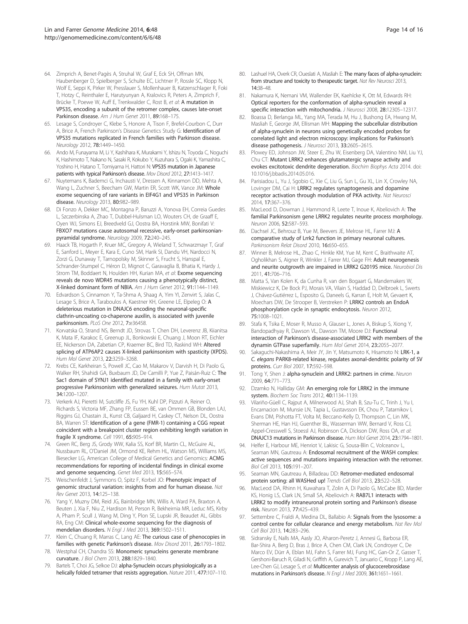- <span id="page-13-0"></span>64. Zimprich A, Benet-Pagès A, Struhal W, Graf E, Eck SH, Offman MN, Haubenberger D, Spielberger S, Schulte EC, Lichtner P, Rossle SC, Klopp N, Wolf E, Seppi K, Pirker W, Presslauer S, Mollenhauer B, Katzenschlager R, Foki T, Hotzy C, Reinthaler E, Harutyunyan A, Kralovics R, Peters A, Zimprich F, Brücke T, Poewe W, Auff E, Trenkwalder C, Rost B, et al: A mutation in VPS35, encoding a subunit of the retromer complex, causes late-onset Parkinson disease. Am J Hum Genet 2011, 89:168-175.
- 65. Lesage S, Condroyer C, Klebe S, Honore A, Tison F, Brefel-Courbon C, Durr A, Brice A, French Parkinson's Disease Genetics Study G: Identification of VPS35 mutations replicated in French families with Parkinson disease. Neurology 2012, 78:1449–1450.
- 66. Ando M, Funayama M, Li Y, Kashihara K, Murakami Y, Ishizu N, Toyoda C, Noguchi K, Hashimoto T, Nakano N, Sasaki R, Kokubo Y, Kuzuhara S, Ogaki K, Yamashita C, Yoshino H, Hatano T, Tomiyama H, Hattori N: VPS35 mutation in Japanese patients with typical Parkinson's disease. Mov Disord 2012, 27:1413–1417.
- 67. Nuytemans K, Bademci G, Inchausti V, Dressen A, Kinnamon DD, Mehta A, Wang L, Zuchner S, Beecham GW, Martin ER, Scott WK, Vance JM: Whole exome sequencing of rare variants in EIF4G1 and VPS35 in Parkinson disease. Neurology 2013, 80:982–989.
- 68. Di Fonzo A, Dekker MC, Montagna P, Baruzzi A, Yonova EH, Correia Guedes L, Szczerbinska A, Zhao T, Dubbel-Hulsman LO, Wouters CH, de Graaff E, Oyen WJ, Simons EJ, Breedveld GJ, Oostra BA, Horstink MW, Bonifati V: FBXO7 mutations cause autosomal recessive, early-onset parkinsonianpyramidal syndrome. Neurology 2009, 72:240–245.
- 69. Haack TB, Hogarth P, Kruer MC, Gregory A, Wieland T, Schwarzmayr T, Graf E, Sanford L, Meyer E, Kara E, Cuno SM, Harik SI, Dandu VH, Nardocci N, Zorzi G, Dunaway T, Tarnopolsky M, Skinner S, Frucht S, Hanspal E, Schrander-Stumpel C, Héron D, Mignot C, Garavaglia B, Bhatia K, Hardy J, Strom TM, Boddaert N, Houlden HH, Kurian MA, et al: Exome sequencing reveals de novo WDR45 mutations causing a phenotypically distinct, X-linked dominant form of NBIA. Am J Hum Genet 2012, 91:1144–1149.
- 70. Edvardson S, Cinnamon Y, Ta-Shma A, Shaag A, Yim YI, Zenvirt S, Jalas C, Lesage S, Brice A, Taraboulos A, Kaestner KH, Greene LE, Elpeleg O: A deleterious mutation in DNAJC6 encoding the neuronal-specific clathrin-uncoating co-chaperone auxilin, is associated with juvenile parkinsonism. PLoS One 2012, 7:e36458.
- 71. Korvatska O, Strand NS, Berndt JD, Strovas T, Chen DH, Leverenz JB, Kiianitsa K, Mata IF, Karakoc E, Greenup JL, Bonkowski E, Chuang J, Moon RT, Eichler EE, Nickerson DA, Zabetian CP, Kraemer BC, Bird TD, Raskind WH: Altered splicing of ATP6AP2 causes X-linked parkinsonism with spasticity (XPDS). Hum Mol Genet 2013, 22:3259–3268.
- 72. Krebs CE, Karkheiran S, Powell JC, Cao M, Makarov V, Darvish H, Di Paolo G, Walker RH, Shahidi GA, Buxbaum JD, De Camilli P, Yue Z, Paisán-Ruiz C: The Sac1 domain of SYNJ1 identified mutated in a family with early-onset progressive Parkinsonism with generalized seizures. Hum Mutat 2013, 34:1200–1207.
- 73. Verkerk AJ, Pieretti M, Sutcliffe JS, Fu YH, Kuhl DP, Pizzuti A, Reiner O, Richards S, Victoria MF, Zhang FP, Eussen BE, van Ommen GB, Blonden LAJ, Riggins GJ, Chastain JL, Kunst CB, Galjaard H, Caskey CT, Nelson DL, Oostra BA, Warren ST: Identification of a gene (FMR-1) containing a CGG repeat coincident with a breakpoint cluster region exhibiting length variation in fragile X syndrome. Cell 1991, 65:905–914.
- 74. Green RC, Berg JS, Grody WW, Kalia SS, Korf BR, Martin CL, McGuire AL, Nussbaum RL, O'Daniel JM, Ormond KE, Rehm HL, Watson MS, Williams MS, Biesecker LG, American College of Medical Genetics and Genomics: ACMG recommendations for reporting of incidental findings in clinical exome and genome sequencing. Genet Med 2013, 15:565–574.
- 75. Weischenfeldt J, Symmons O, Spitz F, Korbel JO: Phenotypic impact of genomic structural variation: insights from and for human disease. Nat Rev Genet 2013, 14:125–138.
- 76. Yang Y, Muzny DM, Reid JG, Bainbridge MN, Willis A, Ward PA, Braxton A, Beuten J, Xia F, Niu Z, Hardison M, Person R, Bekheirnia MR, Leduc MS, Kirby A, Pham P, Scull J, Wang M, Ding Y, Plon SE, Lupski JR, Beaudet AL, Gibbs RA, Eng CM: Clinical whole-exome sequencing for the diagnosis of mendelian disorders. N Engl J Med 2013, 369:1502–1511.
- 77. Klein C, Chuang R, Marras C, Lang AE: The curious case of phenocopies in families with genetic Parkinson's disease. Mov Disord 2011, 26:1793–1802.
- 78. Westphal CH, Chandra SS: Monomeric synucleins generate membrane curvature. J Biol Chem 2013, 288:1829–1840.
- 79. Bartels T, Choi JG, Selkoe DJ: alpha-Synuclein occurs physiologically as a helically folded tetramer that resists aggregation. Nature 2011, 477:107-110.
- 80. Lashuel HA, Overk CR, Oueslati A, Masliah E: The many faces of alpha-synuclein: from structure and toxicity to therapeutic target. Nat Rev Neurosci 2013, 14:38–48.
- 81. Nakamura K, Nemani VM, Wallender EK, Kaehlcke K, Ott M, Edwards RH: Optical reporters for the conformation of alpha-synuclein reveal a specific interaction with mitochondria. J Neurosci 2008, 28:12305-12317.
- 82. Boassa D, Berlanga ML, Yang MA, Terada M, Hu J, Bushong EA, Hwang M, Masliah E, George JM, Ellisman MH: Mapping the subcellular distribution of alpha-synuclein in neurons using genetically encoded probes for correlated light and electron microscopy: implications for Parkinson's disease pathogenesis. J Neurosci 2013, 33:2605-2615
- 83. Plowey ED, Johnson JW, Steer E, Zhu W, Eisenberg DA, Valentino NM, Liu YJ, Chu CT: Mutant LRRK2 enhances glutamatergic synapse activity and evokes excitotoxic dendrite degeneration. Biochim Biophys Acta 2014. doi: 10.1016/j.bbadis.2014.05.016.
- 84. Parisiadou L, Yu J, Sgobio C, Xie C, Liu G, Sun L, Gu XL, Lin X, Crowley NA, Lovinger DM, Cai H: LRRK2 regulates synaptogenesis and dopamine receptor activation through modulation of PKA activity. Nat Neurosci 2014, 17:367–376.
- 85. MacLeod D, Dowman J, Hammond R, Leete T, Inoue K, Abeliovich A: The familial Parkinsonism gene LRRK2 regulates neurite process morphology. Neuron 2006, 52:587–593.
- 86. Dachsel JC, Behrouz B, Yue M, Beevers JE, Melrose HL, Farrer MJ: A comparative study of Lrrk2 function in primary neuronal cultures. Parkinsonism Relat Disord 2010, 16:650–655.
- 87. Winner B, Melrose HL, Zhao C, Hinkle KM, Yue M, Kent C, Braithwaite AT, Ogholikhan S, Aigner R, Winkler J, Farrer MJ, Gage FH: Adult neurogenesis and neurite outgrowth are impaired in LRRK2 G2019S mice. Neurobiol Dis 2011, 41:706–716.
- 88. Matta S, Van Kolen K, da Cunha R, van den Bogaart G, Mandemakers W, Miskiewicz K, De Bock PJ, Morais VA, Vilain S, Haddad D, Delbroek L, Swerts J, Chávez-Gutiérrez L, Esposito G, Daneels G, Karran E, Holt M, Gevaert K, Moechars DW, De Strooper B, Verstreken P: LRRK2 controls an EndoA phosphorylation cycle in synaptic endocytosis. Neuron 2012, 75:1008–1021.
- 89. Stafa K, Tsika E, Moser R, Musso A, Glauser L, Jones A, Biskup S, Xiong Y, Bandopadhyay R, Dawson VL, Dawson TM, Moore DJ: Functional interaction of Parkinson's disease-associated LRRK2 with members of the dynamin GTPase superfamily. Hum Mol Genet 2014, 23:2055–2077.
- 90. Sakaguchi-Nakashima A, Meir JY, Jin Y, Matsumoto K, Hisamoto N: LRK-1, a C. elegans PARK8-related kinase, regulates axonal-dendritic polarity of SV proteins. Curr Biol 2007, 17:592–598.
- 91. Tong Y, Shen J: alpha-synuclein and LRRK2: partners in crime. Neuron 2009, 64:771–773.
- 92. Dzamko N, Halliday GM: An emerging role for LRRK2 in the immune system. Biochem Soc Trans 2012, 40:1134–1139.
- 93. Vilariño-Güell C, Rajput A, Milnerwood AJ, Shah B, Szu-Tu C, Trinh J, Yu I, Encarnacion M, Munsie LN, Tapia L, Gustavsson EK, Chou P, Tatarnikov I, Evans DM, Pishotta FT, Volta M, Beccano-Kelly D, Thompson C, Lin MK, Sherman HE, Han HJ, Guenther BL, Wasserman WW, Bernard V, Ross CJ, Appel-Cresswell S, Stoessl AJ, Robinson CA, Dickson DW, Ross OA, et al: DNAJC13 mutations in Parkinson disease. Hum Mol Genet 2014, 23:1794–1801.
- 94. Helfer E, Harbour ME, Henriot V, Lakisic G, Sousa-Blin C, Volceanov L, Seaman MN, Gautreau A: Endosomal recruitment of the WASH complex: active sequences and mutations impairing interaction with the retromer. Biol Cell 2013, 105:191–207.
- 95. Seaman MN, Gautreau A, Billadeau DD: Retromer-mediated endosomal protein sorting: all WASHed up! Trends Cell Biol 2013, 23:522–528.
- 96. MacLeod DA, Rhinn H, Kuwahara T, Zolin A, Di Paolo G, McCabe BD, Marder KS, Honig LS, Clark LN, Small SA, Abeliovich A: RAB7L1 interacts with LRRK2 to modify intraneuronal protein sorting and Parkinson's disease risk. Neuron 2013, 77:425–439.
- 97. Settembre C, Fraldi A, Medina DL, Ballabio A: Signals from the lysosome: a control centre for cellular clearance and energy metabolism. Nat Rev Mol Cell Biol 2013, 14:283–296.
- 98. Sidransky E, Nalls MA, Aasly JO, Aharon-Peretz J, Annesi G, Barbosa ER, Bar-Shira A, Berg D, Bras J, Brice A, Chen CM, Clark LN, Condroyer C, De Marco EV, Dürr A, Eblan MJ, Fahn S, Farrer MJ, Fung HC, Gan-Or Z, Gasser T, Gershoni-Baruch R, Giladi N, Griffith A, Gurevich T, Januario C, Kropp P, Lang AE, Lee-Chen GJ, Lesage S, et al: Multicenter analysis of glucocerebrosidase mutations in Parkinson's disease. N Engl J Med 2009, 361:1651–1661.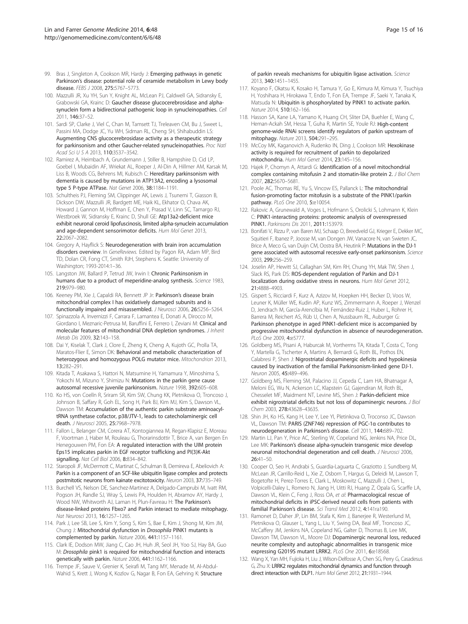- <span id="page-14-0"></span>99. Bras J, Singleton A, Cookson MR, Hardy J: Emerging pathways in genetic Parkinson's disease: potential role of ceramide metabolism in Lewy body disease. FEBS J 2008, 275:5767–5773.
- 100. Mazzulli JR, Xu YH, Sun Y, Knight AL, McLean PJ, Caldwell GA, Sidransky E, Grabowski GA, Krainc D: Gaucher disease glucocerebrosidase and alphasynuclein form a bidirectional pathogenic loop in synucleinopathies. Cell 2011, 146:37–52.
- 101. Sardi SP, Clarke J, Viel C, Chan M, Tamsett TJ, Treleaven CM, Bu J, Sweet L, Passini MA, Dodge JC, Yu WH, Sidman RL, Cheng SH, Shihabuddin LS: Augmenting CNS glucocerebrosidase activity as a therapeutic strategy for parkinsonism and other Gaucher-related synucleinopathies. Proc Natl Acad Sci U S A 2013, 110:3537–3542.
- 102. Ramirez A, Heimbach A, Grundemann J, Stiller B, Hampshire D, Cid LP, Goebel I, Mubaidin AF, Wriekat AL, Roeper J, Al-Din A, Hillmer AM, Karsak M, Liss B, Woods CG, Behrens MI, Kubisch C: Hereditary parkinsonism with dementia is caused by mutations in ATP13A2, encoding a lysosomal type 5 P-type ATPase. Nat Genet 2006, 38:1184–1191.
- 103. Schultheis PJ, Fleming SM, Clippinger AK, Lewis J, Tsunemi T, Giasson B, Dickson DW, Mazzulli JR, Bardgett ME, Haik KL, Ekhator O, Chava AK, Howard J, Gannon M, Hoffman E, Chen Y, Prasad V, Linn SC, Tamargo RJ, Westbroek W, Sidransky E, Krainc D, Shull GE: Atp13a2-deficient mice exhibit neuronal ceroid lipofuscinosis, limited alpha-synuclein accumulation and age-dependent sensorimotor deficits. Hum Mol Genet 2013, 22:2067–2082.
- 104. Gregory A, Hayflick S: Neurodegeneration with brain iron accumulation disorders overview. In GeneReviews. Edited by Pagon RA, Adam MP, Bird TD, Dolan CR, Fong CT, Smith RJH, Stephens K. Seattle: University of Washington; 1993-2014:1–36.
- 105. Langston JW, Ballard P, Tetrud JW, Irwin I: Chronic Parkinsonism in humans due to a product of meperidine-analog synthesis. Science 1983, 219:979–980.
- 106. Keeney PM, Xie J, Capaldi RA, Bennett JP Jr: Parkinson's disease brain mitochondrial complex I has oxidatively damaged subunits and is functionally impaired and misassembled. J Neurosci 2006, 26:5256–5264.
- 107. Spinazzola A, Invernizzi F, Carrara F, Lamantea E, Donati A, Dirocco M, Giordano I, Meznaric-Petrusa M, Baruffini E, Ferrero I, Zeviani M: Clinical and molecular features of mitochondrial DNA depletion syndromes. J Inherit Metab Dis 2009, 32:143–158.
- 108. Dai Y, Kiselak T, Clark J, Clore E, Zheng K, Cheng A, Kujoth GC, Prolla TA, Maratos-Flier E, Simon DK: Behavioral and metabolic characterization of heterozygous and homozygous POLG mutator mice. Mitochondrion 2013, 13:282–291.
- 109. Kitada T, Asakawa S, Hattori N, Matsumine H, Yamamura Y, Minoshima S, Yokochi M, Mizuno Y, Shimizu N: Mutations in the parkin gene cause autosomal recessive juvenile parkinsonism. Nature 1998, 392:605–608.
- 110. Ko HS, von Coelln R, Sriram SR, Kim SW, Chung KK, Pletnikova O, Troncoso J, Johnson B, Saffary R, Goh EL, Song H, Park BJ, Kim MJ, Kim S, Dawson VL, Dawson TM: Accumulation of the authentic parkin substrate aminoacyltRNA synthetase cofactor, p38/JTV-1, leads to catecholaminergic cell death. J Neurosci 2005, 25:7968–7978.
- 111. Fallon L, Belanger CM, Corera AT, Kontogiannea M, Regan-Klapisz E, Moreau F, Voortman J, Haber M, Rouleau G, Thorarinsdottir T, Brice A, van Bergen En Henegouwen PM, Fon EA: A regulated interaction with the UIM protein Eps15 implicates parkin in EGF receptor trafficking and PI(3)K-Akt signalling. Nat Cell Biol 2006, 8:834-842.
- 112. Staropoli JF, McDermott C, Martinat C, Schulman B, Demireva E, Abeliovich A: Parkin is a component of an SCF-like ubiquitin ligase complex and protects postmitotic neurons from kainate excitotoxicity. Neuron 2003, 37:735–749.
- 113. Burchell VS, Nelson DE, Sanchez-Martinez A, Delgado-Camprubi M, Ivatt RM, Pogson JH, Randle SJ, Wray S, Lewis PA, Houlden H, Abramov AY, Hardy J, Wood NW, Whitworth AJ, Laman H, Plun-Favreau H: The Parkinson's disease-linked proteins Fbxo7 and Parkin interact to mediate mitophagy. Nat Neurosci 2013, 16:1257–1265.
- 114. Park J, Lee SB, Lee S, Kim Y, Song S, Kim S, Bae E, Kim J, Shong M, Kim JM, Chung J: Mitochondrial dysfunction in Drosophila PINK1 mutants is complemented by parkin. Nature 2006, 441:1157–1161.
- 115. Clark IE, Dodson MW, Jiang C, Cao JH, Huh JR, Seol JH, Yoo SJ, Hay BA, Guo M: Drosophila pink1 is required for mitochondrial function and interacts genetically with parkin. Nature 2006, 441:1162–1166.
- 116. Trempe JF, Sauve V, Grenier K, Seirafi M, Tang MY, Menade M, Al-Abdul-Wahid S, Krett J, Wong K, Kozlov G, Nagar B, Fon EA, Gehring K: Structure

of parkin reveals mechanisms for ubiquitin ligase activation. Science 2013, 340:1451–1455.

- 117. Koyano F, Okatsu K, Kosako H, Tamura Y, Go E, Kimura M, Kimura Y, Tsuchiya H, Yoshihara H, Hirokawa T, Endo T, Fon EA, Trempe JF, Saeki Y, Tanaka K, Matsuda N: Ubiquitin is phosphorylated by PINK1 to activate parkin. Nature 2014, 510:162–166.
- 118. Hasson SA, Kane LA, Yamano K, Huang CH, Sliter DA, Buehler E, Wang C, Heman-Ackah SM, Hessa T, Guha R, Martin SE, Youle RJ: High-content genome-wide RNAi screens identify regulators of parkin upstream of mitophagy. Nature 2013, 504:291–295.
- 119. McCoy MK, Kaganovich A, Rudenko IN, Ding J, Cookson MR: Hexokinase activity is required for recruitment of parkin to depolarized mitochondria. Hum Mol Genet 2014, 23:145–156.
- 120. Hajek P, Chomyn A, Attardi G: Identification of a novel mitochondrial complex containing mitofusin 2 and stomatin-like protein 2. J Biol Chem 2007, 282:5670–5681.
- 121. Poole AC, Thomas RE, Yu S, Vincow ES, Pallanck L: The mitochondrial fusion-promoting factor mitofusin is a substrate of the PINK1/parkin pathway. PLoS One 2010, 5:e10054.
- 122. Rakovic A, Grunewald A, Voges L, Hofmann S, Orolicki S, Lohmann K, Klein C: PINK1-interacting proteins: proteomic analysis of overexpressed PINK1. Parkinsons Dis 2011, 2011:153979.
- 123. Bonifati V, Rizzu P, van Baren MJ, Schaap O, Breedveld GJ, Krieger E, Dekker MC, Squitieri F, Ibanez P, Joosse M, van Dongen JW, Vanacore N, van Swieten JC, Brice A, Meco G, van Duijn CM, Oostra BA, Heutink P: Mutations in the DJ-1 gene associated with autosomal recessive early-onset parkinsonism. Science 2003, 299:256–259.
- 124. Joselin AP, Hewitt SJ, Callaghan SM, Kim RH, Chung YH, Mak TW, Shen J, Slack RS, Park DS: ROS-dependent regulation of Parkin and DJ-1 localization during oxidative stress in neurons. Hum Mol Genet 2012, 21:4888–4903.
- 125. Gispert S, Ricciardi F, Kurz A, Azizov M, Hoepken HH, Becker D, Voos W, Leuner K, Müller WE, Kudin AP, Kunz WS, Zimmermann A, Roeper J, Wenzel D, Jendrach M, García-Arencíbia M, Fernández-Ruiz J, Huber L, Rohrer H, Barrera M, Reichert AS, Rüb U, Chen A, Nussbaum RL, Auburger G: Parkinson phenotype in aged PINK1-deficient mice is accompanied by progressive mitochondrial dysfunction in absence of neurodegeneration. PLoS One 2009, 4:e5777.
- 126. Goldberg MS, Pisani A, Haburcak M, Vortherms TA, Kitada T, Costa C, Tong Y, Martella G, Tscherter A, Martins A, Bernardi G, Roth BL, Pothos EN, Calabresi P, Shen J: Nigrostriatal dopaminergic deficits and hypokinesia caused by inactivation of the familial Parkinsonism-linked gene DJ-1. Neuron 2005, 45:489–496.
- 127. Goldberg MS, Fleming SM, Palacino JJ, Cepeda C, Lam HA, Bhatnagar A, Meloni EG, Wu N, Ackerson LC, Klapstein GJ, Gajendiran M, Roth BL, Chesselet MF, Maidment NT, Levine MS, Shen J: Parkin-deficient mice exhibit nigrostriatal deficits but not loss of dopaminergic neurons. J Biol Chem 2003, 278:43628–43635.
- 128. Shin JH, Ko HS, Kang H, Lee Y, Lee YI, Pletinkova O, Troconso JC, Dawson VL, Dawson TM: PARIS (ZNF746) repression of PGC-1α contributes to neurodegeneration in Parkinson's disease. Cell 2011, 144:689–702.
- 129. Martin LJ, Pan Y, Price AC, Sterling W, Copeland NG, Jenkins NA, Price DL, Lee MK: Parkinson's disease alpha-synuclein transgenic mice develop neuronal mitochondrial degeneration and cell death. J Neurosci 2006, 26:41–50.
- 130. Cooper O, Seo H, Andrabi S, Guardia-Laguarta C, Graziotto J, Sundberg M, McLean JR, Carrillo-Reid L, Xie Z, Osborn T, Hargus G, Deleidi M, Lawson T, Bogetofte H, Perez-Torres E, Clark L, Moskowitz C, Mazzulli J, Chen L, Volpicelli-Daley L, Romero N, Jiang H, Uitti RJ, Huang Z, Opala G, Scarffe LA, Dawson VL, Klein C, Feng J, Ross OA, et al: Pharmacological rescue of mitochondrial deficits in iPSC-derived neural cells from patients with familial Parkinson's disease. Sci Transl Med 2012, 4:141ra190.
- 131. Ramonet D, Daher JP, Lin BM, Stafa K, Kim J, Banerjee R, Westerlund M, Pletnikova O, Glauser L, Yang L, Liu Y, Swing DA, Beal MF, Troncoso JC, McCaffery JM, Jenkins NA, Copeland NG, Galter D, Thomas B, Lee MK, Dawson TM, Dawson VL, Moore DJ: Dopaminergic neuronal loss, reduced neurite complexity and autophagic abnormalities in transgenic mice expressing G2019S mutant LRRK2. PLoS One 2011, 6:e18568.
- 132. Wang X, Yan MH, Fujioka H, Liu J, Wilson-Delfosse A, Chen SG, Perry G, Casadesus G, Zhu X: LRRK2 regulates mitochondrial dynamics and function through direct interaction with DLP1. Hum Mol Genet 2012, 21:1931–1944.